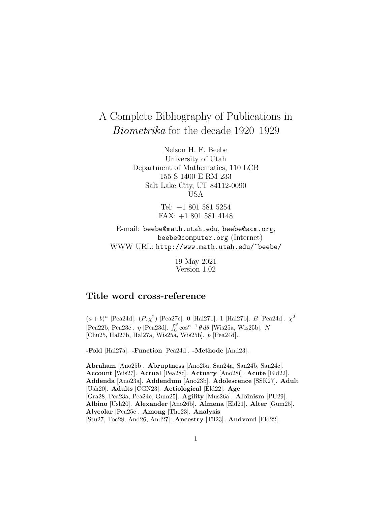# A Complete Bibliography of Publications in Biometrika for the decade 1920–1929

Nelson H. F. Beebe University of Utah Department of Mathematics, 110 LCB 155 S 1400 E RM 233 Salt Lake City, UT 84112-0090 USA

> Tel: +1 801 581 5254 FAX: +1 801 581 4148

E-mail: beebe@math.utah.edu, beebe@acm.org, beebe@computer.org (Internet) WWW URL: http://www.math.utah.edu/~beebe/

> 19 May 2021 Version 1.02

# **Title word cross-reference**

 $(a + b)^n$  [Pea24d].  $(P, \chi^2)$  [Pea27c]. 0 [Hal27b]. 1 [Hal27b].  $B$  [Pea24d].  $\chi^2$ [Pea22b, Pea23c].  $\eta$  [Pea23d].  $\int_0^\theta \cos^{n+1} \theta \, d\theta$  [Wis25a, Wis25b]. N [Chu25, Hal27b, Hal27a, Wis25a, Wis25b]. p [Pea24d].

**-Fold** [Hal27a]. **-Function** [Pea24d]. **-Methode** [And23].

**Abraham** [Ano25b]. **Abruptness** [Ano25a, San24a, San24b, San24c]. **Account** [Wis27]. **Actual** [Pea28c]. **Actuary** [Ano28i]. **Acute** [Eld22]. **Addenda** [Ano23a]. **Addendum** [Ano23b]. **Adolescence** [SSK27]. **Adult** [Ush20]. **Adults** [CGN23]. **Aetiological** [Eld22]. **Age** [Gra28, Pea23a, Pea24e, Gum25]. **Agility** [Mus26a]. **Albinism** [PU29]. **Albino** [Ush20]. **Alexander** [Ano26b]. **Almena** [Eld21]. **Alter** [Gum25]. **Alveolar** [Pea25e]. **Among** [Tho23]. **Analysis** [Stu27, Toc28, And26, And27]. **Ancestry** [Til23]. **Andvord** [Eld22].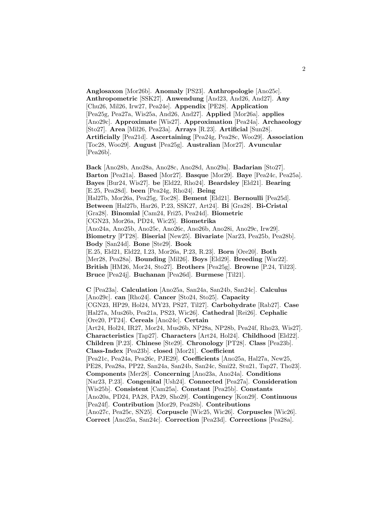**Anglosaxon** [Mor26b]. **Anomaly** [PS23]. **Anthropologie** [Ano25c]. **Anthropometric** [SSK27]. **Anwendung** [And23, And26, And27]. **Any** [Chu26, Mil26, Irw27, Pea24e]. **Appendix** [PE28]. **Application** [Pea25g, Pea27a, Wis25a, And26, And27]. **Applied** [Mor26a]. **applies** [Ano29c]. **Approximate** [Wis27]. **Approximation** [Pea24a]. **Archaeology** [Sto27]. **Area** [Mil26, Pea23a]. **Arrays** [R.23]. **Artificial** [Sun28]. **Artificially** [Pea21d]. **Ascertaining** [Pea24g, Pea28c, Woo29]. **Association** [Toc28, Woo29]. **August** [Pea25g]. **Australian** [Mor27]. **Avuncular** [Pea26b].

**Back** [Ano28b, Ano28a, Ano28c, Ano28d, Ano29a]. **Badarian** [Sto27]. **Barton** [Pea21a]. **Based** [Mor27]. **Basque** [Mor29]. **Baye** [Pea24c, Pea25a]. **Bayes** [Bur24, Wis27]. **be** [Eld22, Rho24]. **Beardsley** [Eld21]. **Bearing** [E.25, Pea28d]. **been** [Pea24g, Rho24]. **Being** [Hal27b, Mor26a, Pea25g, Toc28]. **Bement** [Eld21]. **Bernoulli** [Pea25d]. **Between** [Hal27b, Har26, P.23, SSK27, Art24]. **Bi** [Gra28]. **Bi-Cristal** [Gra28]. **Binomial** [Cam24, Fri25, Pea24d]. **Biometric** [CGN23, Mor26a, PD24, Wic25]. **Biometrika** [Ano24a, Ano25b, Ano25c, Ano26c, Ano26b, Ano28i, Ano29c, Irw29]. **Biometry** [PT28]. **Biserial** [New25]. **Bivariate** [Nar23, Pea25b, Pea28b]. **Body** [San24d]. **Bone** [Ste29]. **Book** [E.25, Eld21, Eld22, I.23, Mor26a, P.23, R.23]. **Born** [Ore20]. **Both** [Mer28, Pea28a]. **Bounding** [Mil26]. **Boys** [Eld29]. **Breeding** [War22]. **British** [HM26, Mor24, Sto27]. **Brothers** [Pea25g]. **Browne** [P.24, Til23]. **Bruce** [Pea24j]. **Buchanan** [Pea26d]. **Burmese** [Til21].

**C** [Pea23a]. **Calculation** [Ano25a, San24a, San24b, San24c]. **Calculus** [Ano29c]. **can** [Rho24]. **Cancer** [Sto24, Sto25]. **Capacity** [CGN23, HP29, Hol24, MY23, PS27, Til27]. **Carbohydrate** [Rab27]. **Case** [Hal27a, Mus26b, Pea21a, PS23, Wic26]. **Cathedral** [Rei26]. **Cephalic** [Ore20, PT24]. **Cereals** [Ano24c]. **Certain** [Art24, Hol24, IR27, Mor24, Mus26b, NP28a, NP28b, Pea24f, Rho23, Wis27]. **Characteristics** [Tap27]. **Characters** [Art24, Hol24]. **Childhood** [Eld22]. **Children** [P.23]. **Chinese** [Ste29]. **Chronology** [PT28]. **Class** [Pea23b]. **Class-Index** [Pea23b]. **closed** [Mor21]. **Coefficient** [Pea21c, Pea24a, Pea26c, PJE29]. **Coefficients** [Ano25a, Hal27a, New25, PE28, Pea28a, PP22, San24a, San24b, San24c, Smi22, Stu21, Tap27, Tho23]. **Components** [Mer28]. **Concerning** [Ano23a, Ano24a]. **Conditions** [Nar23, P.23]. **Congenital** [Ush24]. **Connected** [Pea27a]. **Consideration** [Wis25b]. **Consistent** [Cam25a]. **Constant** [Pea25b]. **Constants** [Ano20a, PD24, PA28, PA29, Sho29]. **Contingency** [Kon29]. **Continuous** [Pea24f]. **Contribution** [Mor29, Pea28b]. **Contributions** [Ano27c, Pea25c, SN25]. **Corpuscle** [Wic25, Wic26]. **Corpuscles** [Wic26]. **Correct** [Ano25a, San24c]. **Correction** [Pea23d]. **Corrections** [Pea28a].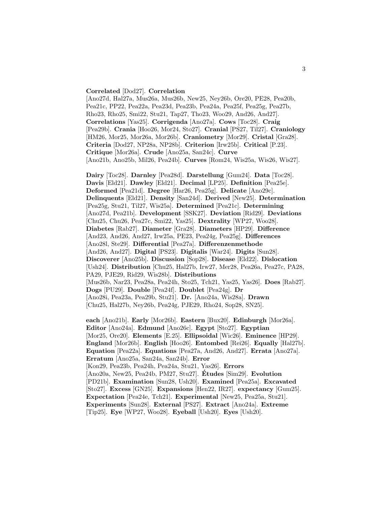### **Correlated** [Dod27]. **Correlation**

[Ano27d, Hal27a, Mus26a, Mus26b, New25, Ney26b, Ore20, PE28, Pea20b, Pea21c, PP22, Pea22a, Pea23d, Pea23b, Pea24a, Pea25f, Pea25g, Pea27b, Rho23, Rho25, Smi22, Stu21, Tap27, Tho23, Woo29, And26, And27]. **Correlations** [Yas25]. **Corrigenda** [Ano27a]. **Cows** [Toc28]. **Craig** [Pea29b]. **Crania** [Hoo26, Mor24, Sto27]. **Cranial** [PS27, Til27]. **Craniology** [HM26, Mor25, Mor26a, Mor26b]. **Craniometry** [Mor29]. **Cristal** [Gra28]. **Criteria** [Dod27, NP28a, NP28b]. **Criterion** [Irw25b]. **Critical** [P.23]. **Critique** [Mor26a]. **Crude** [Ano25a, San24c]. **Curve** [Ano21b, Ano25b, Mil26, Pea24b]. **Curves** [Rom24, Wis25a, Wis26, Wis27].

**Dairy** [Toc28]. **Darnley** [Pea28d]. **Darstellung** [Gum24]. **Data** [Toc28]. **Davis** [Eld21]. **Dawley** [Eld21]. **Decimal** [LP25]. **Definition** [Pea25e]. **Deformed** [Pea21d]. **Degree** [Har26, Pea25g]. **Delicate** [Ano29c]. **Delinquents** [Eld21]. **Density** [San24d]. **Derived** [New25]. **Determination** [Pea25g, Stu21, Til27, Wis25a]. **Determined** [Pea21c]. **Determining** [Ano27d, Pea21b]. **Development** [SSK27]. **Deviation** [Rid29]. **Deviations** [Chu25, Chu26, Pea27c, Smi22, Yas25]. **Dextrality** [WP27, Woo28]. **Diabetes** [Rab27]. **Diameter** [Gra28]. **Diameters** [HP29]. **Difference** [And23, And26, And27, Irw25a, PE23, Pea24g, Pea25g]. **Differences** [Ano28l, Ste29]. **Differential** [Pea27a]. **Differenzenmethode** [And26, And27]. **Digital** [PS23]. **Digitalis** [War24]. **Digits** [Sun28]. **Discoverer** [Ano25b]. **Discussion** [Sop28]. **Disease** [Eld22]. **Dislocation** [Ush24]. **Distribution** [Chu25, Hal27b, Irw27, Mer28, Pea26a, Pea27c, PA28, PA29, PJE29, Rid29, Wis28b]. **Distributions** [Mus26b, Nar23, Pea28a, Pea24h, Sto25, Tch21, Yas25, Yas26]. **Does** [Rab27]. **Dogs** [PU29]. **Double** [Pea24f]. **Doublet** [Pea24g]. **Dr** [Ano28i, Pea23a, Pea29b, Stu21]. **Dr.** [Ano24a, Wis28a]. **Drawn** [Chu25, Hal27b, Ney26b, Pea24g, PJE29, Rho24, Sop28, SN25].

**each** [Ano21b]. **Early** [Mor26b]. **Eastern** [Bux20]. **Edinburgh** [Mor26a]. **Editor** [Ano24a]. **Edmund** [Ano26c]. **Egypt** [Sto27]. **Egyptian** [Mor25, Ore20]. **Elements** [E.25]. **Ellipsoidal** [Wic26]. **Eminence** [HP29]. **England** [Mor26b]. **English** [Hoo26]. **Entombed** [Rei26]. **Equally** [Hal27b]. **Equation** [Pea22a]. **Equations** [Pea27a, And26, And27]. **Errata** [Ano27a]. **Erratum** [Ano25a, San24a, San24b]. **Error** [Kon29, Pea23b, Pea24h, Pea24a, Stu21, Yas26]. **Errors** [Ano20a, New25, Pea24b, PM27, Stu27]. **Etudes ´** [Sim29]. **Evolution** [PD21b]. **Examination** [Sun28, Ush20]. **Examined** [Pea25a]. **Excavated** [Sto27]. **Excess** [GN25]. **Expansions** [Hen22, IR27]. **expectancy** [Gum25]. **Expectation** [Pea24e, Tch21]. **Experimental** [New25, Pea25a, Stu21]. **Experiments** [Sun28]. **External** [PS27]. **Extract** [Ano24a]. **Extreme** [Tip25]. **Eye** [WP27, Woo28]. **Eyeball** [Ush20]. **Eyes** [Ush20].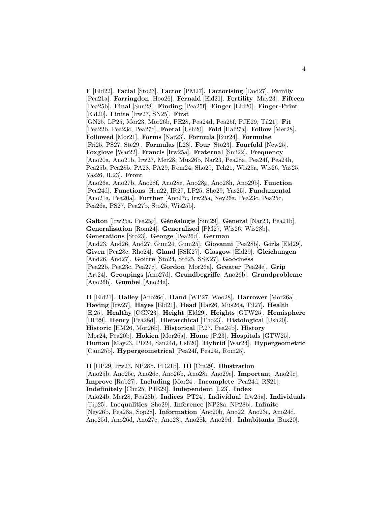**F** [Eld22]. **Facial** [Sto23]. **Factor** [PM27]. **Factorising** [Dod27]. **Family** [Pea21a]. **Farringdon** [Hoo26]. **Fernald** [Eld21]. **Fertility** [May23]. **Fifteen** [Pea25b]. **Final** [Sun28]. **Finding** [Pea25f]. **Finger** [Eld20]. **Finger-Print** [Eld20]. **Finite** [Irw27, SN25]. **First** [GN25, LP25, Mor23, Mor26b, PE28, Pea24d, Pea25f, PJE29, Til21]. **Fit** [Pea22b, Pea23c, Pea27c]. **Foetal** [Ush20]. **Fold** [Hal27a]. **Follow** [Mer28]. **Followed** [Mor21]. **Forms** [Nar23]. **Formula** [Bur24]. **Formulae** [Fri25, PS27, Ste29]. **Formulas** [I.23]. **Four** [Sto23]. **Fourfold** [New25]. **Foxglove** [War22]. **Francis** [Irw25a]. **Fraternal** [Smi22]. **Frequency** [Ano20a, Ano21b, Irw27, Mer28, Mus26b, Nar23, Pea28a, Pea24f, Pea24h, Pea25b, Pea28b, PA28, PA29, Rom24, Sho29, Tch21, Wis25a, Wis26, Yas25, Yas26, R.23]. **Front** [Ano26a, Ano27b, Ano28f, Ano28e, Ano28g, Ano28h, Ano29b]. **Function** [Pea24d]. **Functions** [Hen22, IR27, LP25, Sho29, Yas25]. **Fundamental**

[Ano21a, Pea20a]. **Further** [Ano27c, Irw25a, Ney26a, Pea23c, Pea25c, Pea26a, PS27, Pea27b, Sto25, Wis25b].

**Galton** [Irw25a, Pea25g]. **G´en´ealogie** [Sim29]. **General** [Nar23, Pea21b]. **Generalisation** [Rom24]. **Generalised** [PM27, Wis26, Wis28b]. **Generations** [Sto23]. **George** [Pea26d]. **German** [And23, And26, And27, Gum24, Gum25]. **Giovanni** [Pea28b]. **Girls** [Eld29]. **Given** [Pea28c, Rho24]. **Gland** [SSK27]. **Glasgow** [Eld29]. **Gleichungen** [And26, And27]. **Goitre** [Sto24, Sto25, SSK27]. **Goodness** [Pea22b, Pea23c, Pea27c]. **Gordon** [Mor26a]. **Greater** [Pea24e]. **Grip** [Art24]. **Groupings** [Ano27d]. **Grundbegriffe** [Ano26b]. **Grundprobleme** [Ano26b]. **Gumbel** [Ano24a].

**H** [Eld21]. **Halley** [Ano26c]. **Hand** [WP27, Woo28]. **Harrower** [Mor26a]. **Having** [Irw27]. **Hayes** [Eld21]. **Head** [Har26, Mus26a, Til27]. **Health** [E.25]. **Healthy** [CGN23]. **Height** [Eld29]. **Heights** [GTW25]. **Hemisphere** [HP29]. **Henry** [Pea28d]. **Hierarchical** [Tho23]. **Histological** [Ush20]. **Historic** [HM26, Mor26b]. **Historical** [P.27, Pea24b]. **History** [Mor24, Pea20b]. **Hokien** [Mor26a]. **Home** [P.23]. **Hospitals** [GTW25]. **Human** [May23, PD24, San24d, Ush20]. **Hybrid** [War24]. **Hypergeometric** [Cam25b]. **Hypergeometrical** [Pea24f, Pea24i, Rom25].

**II** [HP29, Irw27, NP28b, PD21b]. **III** [Cra29]. **Illustration** [Ano25b, Ano25c, Ano26c, Ano26b, Ano28i, Ano29c]. **Important** [Ano29c]. **Improve** [Rab27]. **Including** [Mor24]. **Incomplete** [Pea24d, RS21]. **Indefinitely** [Chu25, PJE29]. **Independent** [I.23]. **Index** [Ano24b, Mer28, Pea23b]. **Indices** [PT24]. **Individual** [Irw25a]. **Individuals** [Tip25]. **Inequalities** [Sho29]. **Inference** [NP28a, NP28b]. **Infinite** [Ney26b, Pea28a, Sop28]. **Information** [Ano20b, Ano22, Ano23c, Ano24d, Ano25d, Ano26d, Ano27e, Ano28j, Ano28k, Ano29d]. **Inhabitants** [Bux20].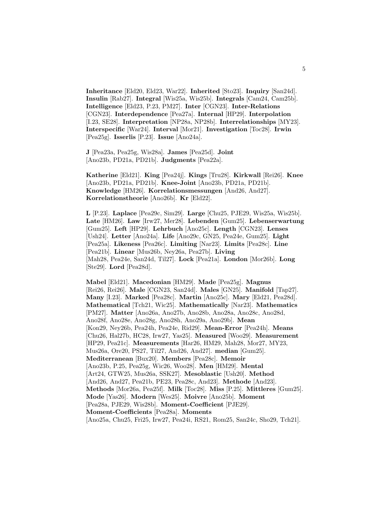**Inheritance** [Eld20, Eld23, War22]. **Inherited** [Sto23]. **Inquiry** [San24d]. **Insulin** [Rab27]. **Integral** [Wis25a, Wis25b]. **Integrals** [Cam24, Cam25b]. **Intelligence** [Eld23, P.23, PM27]. **Inter** [CGN23]. **Inter-Relations** [CGN23]. **Interdependence** [Pea27a]. **Internal** [HP29]. **Interpolation** [I.23, SE28]. **Interpretation** [NP28a, NP28b]. **Interrelationships** [MY23]. **Interspecific** [War24]. **Interval** [Mor21]. **Investigation** [Toc28]. **Irwin** [Pea25g]. **Isserlis** [P.23]. **Issue** [Ano24a].

**J** [Pea23a, Pea25g, Wis28a]. **James** [Pea25d]. **Joint** [Ano23b, PD21a, PD21b]. **Judgments** [Pea22a].

**Katherine** [Eld21]. **King** [Pea24j]. **Kings** [Tru28]. **Kirkwall** [Rei26]. **Knee** [Ano23b, PD21a, PD21b]. **Knee-Joint** [Ano23b, PD21a, PD21b]. **Knowledge** [HM26]. **Korrelationsmessungen** [And26, And27]. **Korrelationstheorie** [Ano26b]. **Kr** [Eld22].

**L** [P.23]. **Laplace** [Pea29c, Sim29]. **Large** [Chu25, PJE29, Wis25a, Wis25b]. **Late** [HM26]. **Law** [Irw27, Mer28]. **Lebenden** [Gum25]. **Lebenserwartung** [Gum25]. **Left** [HP29]. **Lehrbuch** [Ano25c]. **Length** [CGN23]. **Lenses** [Ush24]. **Letter** [Ano24a]. **Life** [Ano29c, GN25, Pea24e, Gum25]. **Light** [Pea25a]. **Likeness** [Pea26c]. **Limiting** [Nar23]. **Limits** [Pea28c]. **Line** [Pea21b]. **Linear** [Mus26b, Ney26a, Pea27b]. **Living** [Mah28, Pea24e, San24d, Til27]. **Lock** [Pea21a]. **London** [Mor26b]. **Long** [Ste29]. **Lord** [Pea28d].

**Mabel** [Eld21]. **Macedonian** [HM29]. **Made** [Pea25g]. **Magnus** [Rei26, Rei26]. **Male** [CGN23, San24d]. **Males** [GN25]. **Manifold** [Tap27]. **Many** [I.23]. **Marked** [Pea28c]. **Martin** [Ano25c]. **Mary** [Eld21, Pea28d]. **Mathematical** [Tch21, Wic25]. **Mathematically** [Nar23]. **Mathematics** [PM27]. **Matter** [Ano26a, Ano27b, Ano28b, Ano28a, Ano28c, Ano28d, Ano28f, Ano28e, Ano28g, Ano28h, Ano29a, Ano29b]. **Mean** [Kon29, Ney26b, Pea24h, Pea24e, Rid29]. **Mean-Error** [Pea24h]. **Means** [Chu26, Hal27b, HC28, Irw27, Yas25]. **Measured** [Woo29]. **Measurement** [HP29, Pea21c]. **Measurements** [Har26, HM29, Mah28, Mor27, MY23, Mus26a, Ore20, PS27, Til27, And26, And27]. **median** [Gum25]. **Mediterranean** [Bux20]. **Members** [Pea28c]. **Memoir** [Ano23b, P.25, Pea25g, Wic26, Woo28]. **Men** [HM29]. **Mental** [Art24, GTW25, Mus26a, SSK27]. **Mesoblastic** [Ush20]. **Method** [And26, And27, Pea21b, PE23, Pea28c, And23]. **Methode** [And23]. **Methods** [Mor26a, Pea25f]. **Milk** [Toc28]. **Miss** [P.25]. **Mittleres** [Gum25]. **Mode** [Yas26]. **Modern** [Wes25]. **Moivre** [Ano25b]. **Moment** [Pea28a, PJE29, Wis28b]. **Moment-Coefficient** [PJE29]. **Moment-Coefficients** [Pea28a]. **Moments**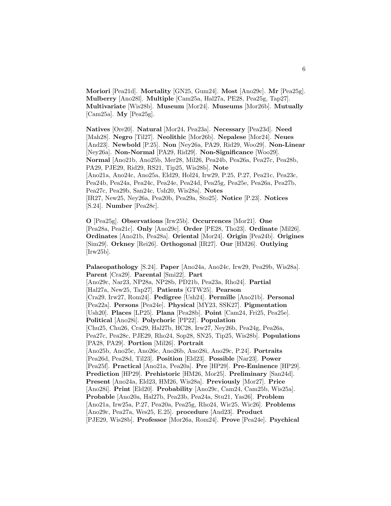**Moriori** [Pea21d]. **Mortality** [GN25, Gum24]. **Most** [Ano29c]. **Mr** [Pea25g]. **Mulberry** [Ano28l]. **Multiple** [Cam25a, Hal27a, PE28, Pea25g, Tap27]. **Multivariate** [Wis28b]. **Museum** [Mor24]. **Museums** [Mor26b]. **Mutually** [Cam25a]. **My** [Pea25g].

**Natives** [Ore20]. **Natural** [Mor24, Pea23a]. **Necessary** [Pea23d]. **Need** [Mah28]. **Negro** [Til27]. **Neolithic** [Mor26b]. **Nepalese** [Mor24]. **Neues** [And23]. **Newbold** [P.25]. **Non** [Ney26a, PA29, Rid29, Woo29]. **Non-Linear** [Ney26a]. **Non-Normal** [PA29, Rid29]. **Non-Significance** [Woo29]. **Normal** [Ano21b, Ano25b, Mer28, Mil26, Pea24b, Pea26a, Pea27c, Pea28b, PA29, PJE29, Rid29, RS21, Tip25, Wis28b]. **Note** [Ano21a, Ano24c, Ano25a, Eld29, Hol24, Irw29, P.25, P.27, Pea21c, Pea23c, Pea24b, Pea24a, Pea24c, Pea24e, Pea24d, Pea25g, Pea25e, Pea26a, Pea27b, Pea27c, Pea29b, San24c, Ush20, Wis28a]. **Notes** [IR27, New25, Ney26a, Pea20b, Pea29a, Sto25]. **Notice** [P.23]. **Notices** [S.24]. **Number** [Pea28c].

**O** [Pea25g]. **Observations** [Irw25b]. **Occurrences** [Mor21]. **One** [Pea28a, Pea21c]. **Only** [Ano29c]. **Order** [PE28, Tho23]. **Ordinate** [Mil26]. **Ordinates** [Ano21b, Pea28a]. **Oriental** [Mor24]. **Origin** [Pea24b]. **Origines** [Sim29]. **Orkney** [Rei26]. **Orthogonal** [IR27]. **Our** [HM26]. **Outlying** [Irw25b].

**Palaeopathology** [S.24]. **Paper** [Ano24a, Ano24c, Irw29, Pea29b, Wis28a]. **Parent** [Cra29]. **Parental** [Smi22]. **Part** [Ano29c, Nar23, NP28a, NP28b, PD21b, Pea23a, Rho24]. **Partial** [Hal27a, New25, Tap27]. **Patients** [GTW25]. **Pearson** [Cra29, Irw27, Rom24]. **Pedigree** [Ush24]. **Permille** [Ano21b]. **Personal** [Pea22a]. **Persons** [Pea24e]. **Physical** [MY23, SSK27]. **Pigmentation** [Ush20]. **Places** [LP25]. **Plana** [Pea28b]. **Point** [Cam24, Fri25, Pea25e]. **Political** [Ano28i]. **Polychoric** [PP22]. **Population** [Chu25, Chu26, Cra29, Hal27b, HC28, Irw27, Ney26b, Pea24g, Pea26a, Pea27c, Pea28c, PJE29, Rho24, Sop28, SN25, Tip25, Wis28b]. **Populations** [PA28, PA29]. **Portion** [Mil26]. **Portrait** [Ano25b, Ano25c, Ano26c, Ano26b, Ano28i, Ano29c, P.24]. **Portraits** [Pea26d, Pea28d, Til23]. **Position** [Eld23]. **Possible** [Nar23]. **Power** [Pea25f]. **Practical** [Ano21a, Pea20a]. **Pre** [HP29]. **Pre-Eminence** [HP29]. **Prediction** [HP29]. **Prehistoric** [HM26, Mor25]. **Preliminary** [San24d]. **Present** [Ano24a, Eld23, HM26, Wis28a]. **Previously** [Mor27]. **Price** [Ano28i]. **Print** [Eld20]. **Probability** [Ano29c, Cam24, Cam25b, Wis25a]. **Probable** [Ano20a, Hal27b, Pea23b, Pea24a, Stu21, Yas26]. **Problem** [Ano21a, Irw25a, P.27, Pea20a, Pea25g, Rho24, Wic25, Wic26]. **Problems** [Ano29c, Pea27a, Wes25, E.25]. **procedure** [And23]. **Product** [PJE29, Wis28b]. **Professor** [Mor26a, Rom24]. **Prove** [Pea24e]. **Psychical**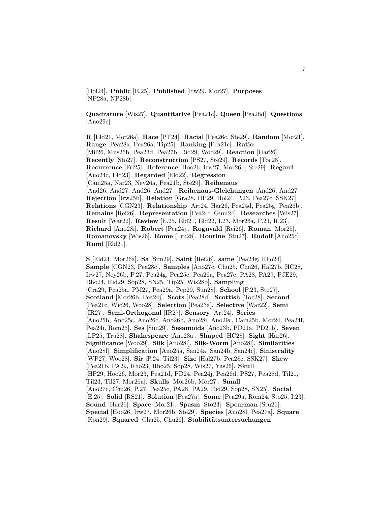[Hol24]. **Public** [E.25]. **Published** [Irw29, Mor27]. **Purposes** [NP28a, NP28b].

**Quadrature** [Wis27]. **Quantitative** [Pea21c]. **Queen** [Pea28d]. **Questions** [Ano29c].

**R** [Eld21, Mor26a]. **Race** [PT24]. **Racial** [Pea26c, Ste29]. **Random** [Mor21]. **Range** [Pea28a, Pea26a, Tip25]. **Ranking** [Pea21c]. **Ratio** [Mil26, Mus26b, Pea23d, Pea27b, Rid29, Woo29]. **Reaction** [Har26]. **Recently** [Sto27]. **Reconstruction** [PS27, Ste29]. **Records** [Toc28]. **Recurrence** [Fri25]. **Reference** [Hoo26, Irw27, Mor26b, Ste29]. **Regard** [Ano24c, Eld23]. **Regarded** [Eld22]. **Regression** [Cam25a, Nar23, Ney26a, Pea21b, Ste29]. **Reihenaus** [And26, And27, And26, And27]. **Reihenaus-Gleichungen** [And26, And27]. **Rejection** [Irw25b]. **Relation** [Gra28, HP29, Hol24, P.23, Pea27c, SSK27]. **Relations** [CGN23]. **Relationship** [Art24, Har26, Pea24d, Pea25g, Pea26b]. **Remains** [Rei26]. **Representation** [Pea24f, Gum24]. **Researches** [Wis27]. **Result** [War22]. **Review** [E.25, Eld21, Eld22, I.23, Mor26a, P.23, R.23]. **Richard** [Ano28i]. **Robert** [Pea24j]. **Rognvald** [Rei26]. **Roman** [Mor25]. **Romanovsky** [Wis26]. **Rome** [Tru28]. **Routine** [Stu27]. **Rudolf** [Ano25c]. **Ruml** [Eld21].

**S** [Eld21, Mor26a]. **Sa** [Sim29]. **Saint** [Rei26]. **same** [Pea24g, Rho24]. **Sample** [CGN23, Pea28c]. **Samples** [Ano27c, Chu25, Chu26, Hal27b, HC28, Irw27, Ney26b, P.27, Pea24g, Pea25c, Pea26a, Pea27c, PA28, PA29, PJE29, Rho24, Rid29, Sop28, SN25, Tip25, Wis28b]. **Sampling** [Cra29, Pea25a, PM27, Pea29a, Pep29, Sun28]. **School** [P.23, Sto27]. **Scotland** [Mor26b, Pea24j]. **Scots** [Pea28d]. **Scottish** [Toc28]. **Second** [Pea21c, Wic26, Woo28]. **Selection** [Pea23a]. **Selective** [War22]. **Semi** [IR27]. **Semi-Orthogonal** [IR27]. **Sensory** [Art24]. **Series** [Ano25b, Ano25c, Ano26c, Ano26b, Ano28i, Ano29c, Cam25b, Mor24, Pea24f, Pea24i, Rom25]. **Ses** [Sim29]. **Sesamoids** [Ano23b, PD21a, PD21b]. **Seven** [LP25, Tru28]. **Shakespeare** [Ano23a]. **Shaped** [HC28]. **Sight** [Har26]. **Significance** [Woo29]. **Silk** [Ano28l]. **Silk-Worm** [Ano28l]. **Similarities** [Ano28l]. **Simplification** [Ano25a, San24a, San24b, San24c]. **Sinistrality** [WP27, Woo28]. **Sir** [P.24, Til23]. **Size** [Hal27b, Pea28c, SSK27]. **Skew** [Pea21b, PA29, Rho23, Rho25, Sop28, Wis27, Yas26]. **Skull** [HP29, Hoo26, Mor23, Pea21d, PD24, Pea24j, Pea26d, PS27, Pea28d, Til21, Til23, Til27, Mor26a]. **Skulls** [Mor26b, Mor27]. **Small** [Ano27c, Chu26, P.27, Pea25c, PA28, PA29, Rid29, Sop28, SN25]. **Social** [E.25]. **Solid** [RS21]. **Solution** [Pea27a]. **Some** [Pea29a, Rom24, Sto25, I.23]. **Sound** [Har26]. **Space** [Mor21]. **Spasm** [Sto23]. **Spearman** [Stu21]. **Special** [Hoo26, Irw27, Mor26b, Ste29]. **Species** [Ano28l, Pea27a]. **Square** [Kon29]. **Squared** [Chu25, Chu26]. **Stabilitätsuntersuchungen**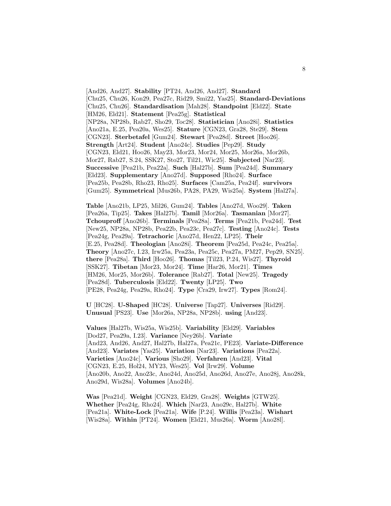[And26, And27]. **Stability** [PT24, And26, And27]. **Standard** [Chu25, Chu26, Kon29, Pea27c, Rid29, Smi22, Yas25]. **Standard-Deviations** [Chu25, Chu26]. **Standardisation** [Mah28]. **Standpoint** [Eld22]. **State** [HM26, Eld21]. **Statement** [Pea25g]. **Statistical** [NP28a, NP28b, Rab27, Sho29, Toc28]. **Statistician** [Ano28i]. **Statistics** [Ano21a, E.25, Pea20a, Wes25]. **Stature** [CGN23, Gra28, Ste29]. **Stem** [CGN23]. **Sterbetafel** [Gum24]. **Stewart** [Pea28d]. **Street** [Hoo26]. **Strength** [Art24]. **Student** [Ano24c]. **Studies** [Pep29]. **Study** [CGN23, Eld21, Hoo26, May23, Mor23, Mor24, Mor25, Mor26a, Mor26b, Mor27, Rab27, S.24, SSK27, Sto27, Til21, Wic25]. **Subjected** [Nar23]. **Successive** [Pea21b, Pea22a]. **Such** [Hal27b]. **Sum** [Pea24d]. **Summary** [Eld23]. **Supplementary** [Ano27d]. **Supposed** [Rho24]. **Surface** [Pea25b, Pea28b, Rho23, Rho25]. **Surfaces** [Cam25a, Pea24f]. **survivors** [Gum25]. **Symmetrical** [Mus26b, PA28, PA29, Wis25a]. **System** [Hal27a].

**Table** [Ano21b, LP25, Mil26, Gum24]. **Tables** [Ano27d, Woo29]. **Taken** [Pea26a, Tip25]. **Takes** [Hal27b]. **Tamil** [Mor26a]. **Tasmanian** [Mor27]. **Tchouproff** [Ano26b]. **Terminals** [Pea28a]. **Terms** [Pea21b, Pea24d]. **Test** [New25, NP28a, NP28b, Pea22b, Pea23c, Pea27c]. **Testing** [Ano24c]. **Tests** [Pea24g, Pea29a]. **Tetrachoric** [Ano27d, Hen22, LP25]. **Their** [E.25, Pea28d]. **Theologian** [Ano28i]. **Theorem** [Pea25d, Pea24c, Pea25a]. **Theory** [Ano27c, I.23, Irw25a, Pea23a, Pea25c, Pea27a, PM27, Pep29, SN25]. **there** [Pea28a]. **Third** [Hoo26]. **Thomas** [Til23, P.24, Wis27]. **Thyroid** [SSK27]. **Tibetan** [Mor23, Mor24]. **Time** [Har26, Mor21]. **Times** [HM26, Mor25, Mor26b]. **Tolerance** [Rab27]. **Total** [New25]. **Tragedy** [Pea28d]. **Tuberculosis** [Eld22]. **Twenty** [LP25]. **Two** [PE28, Pea24g, Pea29a, Rho24]. **Type** [Cra29, Irw27]. **Types** [Rom24].

**U** [HC28]. **U-Shaped** [HC28]. **Universe** [Tap27]. **Universes** [Rid29]. **Unusual** [PS23]. **Use** [Mor26a, NP28a, NP28b]. **using** [And23].

**Values** [Hal27b, Wis25a, Wis25b]. **Variability** [Eld29]. **Variables** [Dod27, Pea29a, I.23]. **Variance** [Ney26b]. **Variate** [And23, And26, And27, Hal27b, Hal27a, Pea21c, PE23]. **Variate-Difference** [And23]. **Variates** [Yas25]. **Variation** [Nar23]. **Variations** [Pea22a]. **Varieties** [Ano24c]. **Various** [Sho29]. **Verfahren** [And23]. **Vital** [CGN23, E.25, Hol24, MY23, Wes25]. **Vol** [Irw29]. **Volume** [Ano20b, Ano22, Ano23c, Ano24d, Ano25d, Ano26d, Ano27e, Ano28j, Ano28k, Ano29d, Wis28a]. **Volumes** [Ano24b].

**Was** [Pea21d]. **Weight** [CGN23, Eld29, Gra28]. **Weights** [GTW25]. **Whether** [Pea24g, Rho24]. **Which** [Nar23, Ano29c, Hal27b]. **White** [Pea21a]. **White-Lock** [Pea21a]. **Wife** [P.24]. **Willis** [Pea23a]. **Wishart** [Wis28a]. **Within** [PT24]. **Women** [Eld21, Mus26a]. **Worm** [Ano28l].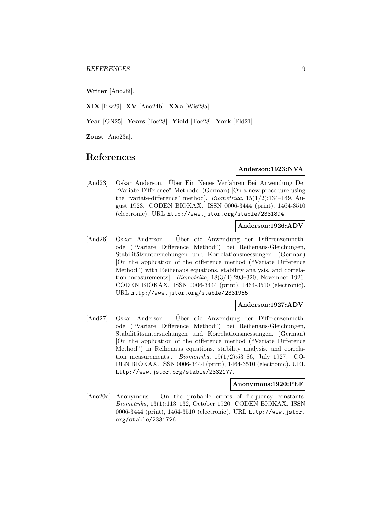**Writer** [Ano28i].

**XIX** [Irw29]. **XV** [Ano24b]. **XXa** [Wis28a].

**Year** [GN25]. **Years** [Toc28]. **Yield** [Toc28]. **York** [Eld21].

**Zoust** [Ano23a].

# **References**

# **Anderson:1923:NVA**

[And23] Oskar Anderson. Über Ein Neues Verfahren Bei Anwendung Der "Variate-Difference"-Methode. (German) [On a new procedure using the "variate-difference" method]. Biometrika, 15(1/2):134–149, August 1923. CODEN BIOKAX. ISSN 0006-3444 (print), 1464-3510 (electronic). URL http://www.jstor.org/stable/2331894.

#### **Anderson:1926:ADV**

[And26] Oskar Anderson. Uber die Anwendung der Differenzenmethode ("Variate Difference Method") bei Reihenaus-Gleichungen, Stabilitätsuntersuchungen und Korrelationsmessungen. (German) [On the application of the difference method ("Variate Difference Method") with Reihenaus equations, stability analysis, and correlation measurements]. Biometrika, 18(3/4):293–320, November 1926. CODEN BIOKAX. ISSN 0006-3444 (print), 1464-3510 (electronic). URL http://www.jstor.org/stable/2331955.

# **Anderson:1927:ADV**

[And27] Oskar Anderson. Uber die Anwendung der Differenzenmeth- ¨ ode ("Variate Difference Method") bei Reihenaus-Gleichungen, Stabilitätsuntersuchungen und Korrelationsmessungen. (German) [On the application of the difference method ("Variate Difference Method") in Reihenaus equations, stability analysis, and correlation measurements. *Biometrika*,  $19(1/2)$ :53–86, July 1927. CO-DEN BIOKAX. ISSN 0006-3444 (print), 1464-3510 (electronic). URL http://www.jstor.org/stable/2332177.

#### **Anonymous:1920:PEF**

[Ano20a] Anonymous. On the probable errors of frequency constants. Biometrika, 13(1):113–132, October 1920. CODEN BIOKAX. ISSN 0006-3444 (print), 1464-3510 (electronic). URL http://www.jstor. org/stable/2331726.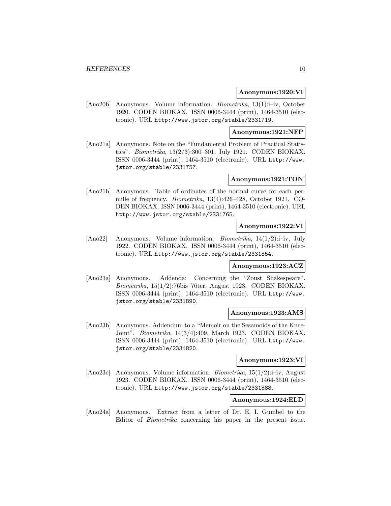#### **Anonymous:1920:VI**

[Ano20b] Anonymous. Volume information. Biometrika, 13(1):i–iv, October 1920. CODEN BIOKAX. ISSN 0006-3444 (print), 1464-3510 (electronic). URL http://www.jstor.org/stable/2331719.

# **Anonymous:1921:NFP**

[Ano21a] Anonymous. Note on the "Fundamental Problem of Practical Statistics". Biometrika, 13(2/3):300–301, July 1921. CODEN BIOKAX. ISSN 0006-3444 (print), 1464-3510 (electronic). URL http://www. jstor.org/stable/2331757.

# **Anonymous:1921:TON**

[Ano21b] Anonymous. Table of ordinates of the normal curve for each permille of frequency. Biometrika, 13(4):426–428, October 1921. CO-DEN BIOKAX. ISSN 0006-3444 (print), 1464-3510 (electronic). URL http://www.jstor.org/stable/2331765.

### **Anonymous:1922:VI**

[Ano22] Anonymous. Volume information. Biometrika, 14(1/2):i–iv, July 1922. CODEN BIOKAX. ISSN 0006-3444 (print), 1464-3510 (electronic). URL http://www.jstor.org/stable/2331854.

# **Anonymous:1923:ACZ**

[Ano23a] Anonymous. Addenda: Concerning the "Zoust Shakespeare". Biometrika, 15(1/2):76bis–76ter, August 1923. CODEN BIOKAX. ISSN 0006-3444 (print), 1464-3510 (electronic). URL http://www. jstor.org/stable/2331890.

#### **Anonymous:1923:AMS**

[Ano23b] Anonymous. Addendum to a "Memoir on the Sesamoids of the Knee-Joint". Biometrika, 14(3/4):409, March 1923. CODEN BIOKAX. ISSN 0006-3444 (print), 1464-3510 (electronic). URL http://www. jstor.org/stable/2331820.

# **Anonymous:1923:VI**

[Ano23c] Anonymous. Volume information. Biometrika, 15(1/2):i–iv, August 1923. CODEN BIOKAX. ISSN 0006-3444 (print), 1464-3510 (electronic). URL http://www.jstor.org/stable/2331888.

# **Anonymous:1924:ELD**

[Ano24a] Anonymous. Extract from a letter of Dr. E. I. Gumbel to the Editor of Biometrika concerning his paper in the present issue.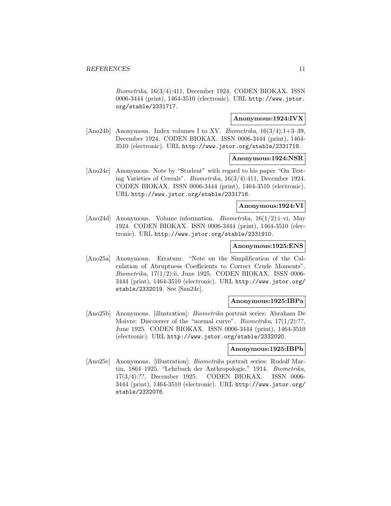Biometrika, 16(3/4):411, December 1924. CODEN BIOKAX. ISSN 0006-3444 (print), 1464-3510 (electronic). URL http://www.jstor. org/stable/2331717.

# **Anonymous:1924:IVX**

[Ano24b] Anonymous. Index volumes I to XV. Biometrika,  $16(3/4)$ :1+3-39, December 1924. CODEN BIOKAX. ISSN 0006-3444 (print), 1464- 3510 (electronic). URL http://www.jstor.org/stable/2331718.

#### **Anonymous:1924:NSR**

[Ano24c] Anonymous. Note by "Student" with regard to his paper "On Testing Varieties of Cereals". Biometrika, 16(3/4):411, December 1924. CODEN BIOKAX. ISSN 0006-3444 (print), 1464-3510 (electronic). URL http://www.jstor.org/stable/2331716.

# **Anonymous:1924:VI**

[Ano24d] Anonymous. Volume information. Biometrika, 16(1/2):i–vi, May 1924. CODEN BIOKAX. ISSN 0006-3444 (print), 1464-3510 (electronic). URL http://www.jstor.org/stable/2331910.

### **Anonymous:1925:ENS**

[Ano25a] Anonymous. Erratum: "Note on the Simplification of the Calculation of Abruptness Coefficients to Correct Crude Moments".  $Biometrika$ , 17(1/2):ii, June 1925. CODEN BIOKAX. ISSN 0006-3444 (print), 1464-3510 (electronic). URL http://www.jstor.org/ stable/2332019. See [San24c].

# **Anonymous:1925:IBPa**

[Ano25b] Anonymous. [illustration]: Biometrika portrait series: Abraham De Moivre: Discoverer of the "normal curve". *Biometrika*,  $17(1/2)$ :??, June 1925. CODEN BIOKAX. ISSN 0006-3444 (print), 1464-3510 (electronic). URL http://www.jstor.org/stable/2332020.

#### **Anonymous:1925:IBPb**

[Ano25c] Anonymous. [illustration]: Biometrika portrait series: Rudolf Martin, 1864–1925. "Lehrbuch der Anthropologie," 1914. Biometrika, 17(3/4):??, December 1925. CODEN BIOKAX. ISSN 0006- 3444 (print), 1464-3510 (electronic). URL http://www.jstor.org/ stable/2332076.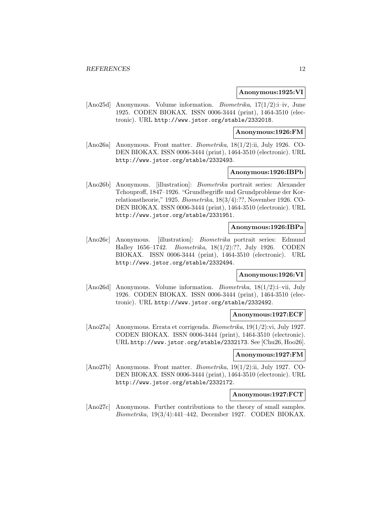#### **Anonymous:1925:VI**

[Ano25d] Anonymous. Volume information. Biometrika, 17(1/2):i–iv, June 1925. CODEN BIOKAX. ISSN 0006-3444 (print), 1464-3510 (electronic). URL http://www.jstor.org/stable/2332018.

# **Anonymous:1926:FM**

[Ano26a] Anonymous. Front matter. Biometrika, 18(1/2):ii, July 1926. CO-DEN BIOKAX. ISSN 0006-3444 (print), 1464-3510 (electronic). URL http://www.jstor.org/stable/2332493.

# **Anonymous:1926:IBPb**

[Ano26b] Anonymous. [illustration]: Biometrika portrait series: Alexander Tchouproff, 1847–1926. "Grundbegriffe und Grundprobleme der Korrelationstheorie," 1925. Biometrika, 18(3/4):??, November 1926. CO-DEN BIOKAX. ISSN 0006-3444 (print), 1464-3510 (electronic). URL http://www.jstor.org/stable/2331951.

#### **Anonymous:1926:IBPa**

[Ano26c] Anonymous. [illustration]: Biometrika portrait series: Edmund Halley 1656–1742. Biometrika, 18(1/2):??, July 1926. CODEN BIOKAX. ISSN 0006-3444 (print), 1464-3510 (electronic). URL http://www.jstor.org/stable/2332494.

# **Anonymous:1926:VI**

[Ano26d] Anonymous. Volume information. Biometrika, 18(1/2):i–vii, July 1926. CODEN BIOKAX. ISSN 0006-3444 (print), 1464-3510 (electronic). URL http://www.jstor.org/stable/2332492.

#### **Anonymous:1927:ECF**

[Ano27a] Anonymous. Errata et corrigenda. Biometrika, 19(1/2):vi, July 1927. CODEN BIOKAX. ISSN 0006-3444 (print), 1464-3510 (electronic). URL http://www.jstor.org/stable/2332173. See [Chu26, Hoo26].

### **Anonymous:1927:FM**

[Ano27b] Anonymous. Front matter. Biometrika, 19(1/2):ii, July 1927. CO-DEN BIOKAX. ISSN 0006-3444 (print), 1464-3510 (electronic). URL http://www.jstor.org/stable/2332172.

#### **Anonymous:1927:FCT**

[Ano27c] Anonymous. Further contributions to the theory of small samples. Biometrika, 19(3/4):441–442, December 1927. CODEN BIOKAX.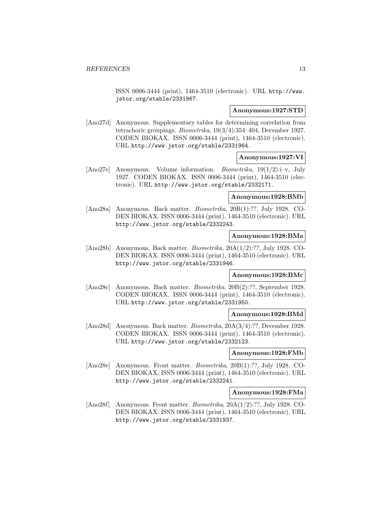ISSN 0006-3444 (print), 1464-3510 (electronic). URL http://www. jstor.org/stable/2331967.

#### **Anonymous:1927:STD**

[Ano27d] Anonymous. Supplementary tables for determining correlation from tetrachoric groupings. Biometrika, 19(3/4):354–404, December 1927. CODEN BIOKAX. ISSN 0006-3444 (print), 1464-3510 (electronic). URL http://www.jstor.org/stable/2331964.

# **Anonymous:1927:VI**

[Ano27e] Anonymous. Volume information. Biometrika, 19(1/2):i–v, July 1927. CODEN BIOKAX. ISSN 0006-3444 (print), 1464-3510 (electronic). URL http://www.jstor.org/stable/2332171.

# **Anonymous:1928:BMb**

[Ano28a] Anonymous. Back matter. Biometrika, 20B(1):??, July 1928. CO-DEN BIOKAX. ISSN 0006-3444 (print), 1464-3510 (electronic). URL http://www.jstor.org/stable/2332243.

# **Anonymous:1928:BMa**

[Ano28b] Anonymous. Back matter. Biometrika, 20A(1/2):??, July 1928. CO-DEN BIOKAX. ISSN 0006-3444 (print), 1464-3510 (electronic). URL http://www.jstor.org/stable/2331946.

# **Anonymous:1928:BMc**

[Ano28c] Anonymous. Back matter. Biometrika, 20B(2):??, September 1928. CODEN BIOKAX. ISSN 0006-3444 (print), 1464-3510 (electronic). URL http://www.jstor.org/stable/2331950.

#### **Anonymous:1928:BMd**

[Ano28d] Anonymous. Back matter. Biometrika, 20A(3/4):??, December 1928. CODEN BIOKAX. ISSN 0006-3444 (print), 1464-3510 (electronic). URL http://www.jstor.org/stable/2332123.

#### **Anonymous:1928:FMb**

[Ano28e] Anonymous. Front matter. Biometrika, 20B(1):??, July 1928. CO-DEN BIOKAX. ISSN 0006-3444 (print), 1464-3510 (electronic). URL http://www.jstor.org/stable/2332241.

#### **Anonymous:1928:FMa**

[Ano28f] Anonymous. Front matter. Biometrika, 20A(1/2):??, July 1928. CO-DEN BIOKAX. ISSN 0006-3444 (print), 1464-3510 (electronic). URL http://www.jstor.org/stable/2331937.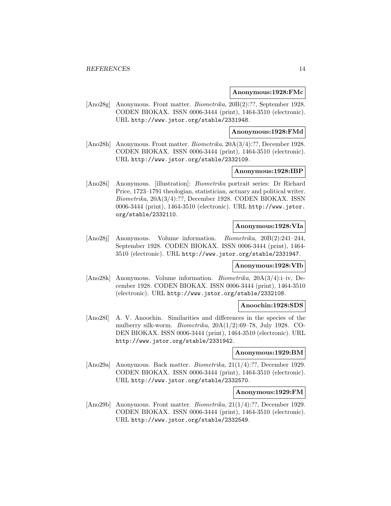#### **Anonymous:1928:FMc**

[Ano28g] Anonymous. Front matter. Biometrika, 20B(2):??, September 1928. CODEN BIOKAX. ISSN 0006-3444 (print), 1464-3510 (electronic). URL http://www.jstor.org/stable/2331948.

#### **Anonymous:1928:FMd**

[Ano28h] Anonymous. Front matter. Biometrika, 20A(3/4):??, December 1928. CODEN BIOKAX. ISSN 0006-3444 (print), 1464-3510 (electronic). URL http://www.jstor.org/stable/2332109.

# **Anonymous:1928:IBP**

[Ano28i] Anonymous. [illustration]: Biometrika portrait series: Dr Richard Price, 1723–1791 theologian, statistician, actuary and political writer. Biometrika, 20A(3/4):??, December 1928. CODEN BIOKAX. ISSN 0006-3444 (print), 1464-3510 (electronic). URL http://www.jstor. org/stable/2332110.

### **Anonymous:1928:VIa**

[Ano28j] Anonymous. Volume information. Biometrika, 20B(2):241–244, September 1928. CODEN BIOKAX. ISSN 0006-3444 (print), 1464- 3510 (electronic). URL http://www.jstor.org/stable/2331947.

#### **Anonymous:1928:VIb**

[Ano28k] Anonymous. Volume information. Biometrika, 20A(3/4):i–iv, December 1928. CODEN BIOKAX. ISSN 0006-3444 (print), 1464-3510 (electronic). URL http://www.jstor.org/stable/2332108.

#### **Anoochin:1928:SDS**

[Ano28l] A. V. Anoochin. Similarities and differences in the species of the mulberry silk-worm. Biometrika, 20A(1/2):69–78, July 1928. CO-DEN BIOKAX. ISSN 0006-3444 (print), 1464-3510 (electronic). URL http://www.jstor.org/stable/2331942.

#### **Anonymous:1929:BM**

[Ano29a] Anonymous. Back matter. Biometrika, 21(1/4):??, December 1929. CODEN BIOKAX. ISSN 0006-3444 (print), 1464-3510 (electronic). URL http://www.jstor.org/stable/2332570.

#### **Anonymous:1929:FM**

[Ano29b] Anonymous. Front matter. *Biometrika*, 21(1/4):??, December 1929. CODEN BIOKAX. ISSN 0006-3444 (print), 1464-3510 (electronic). URL http://www.jstor.org/stable/2332549.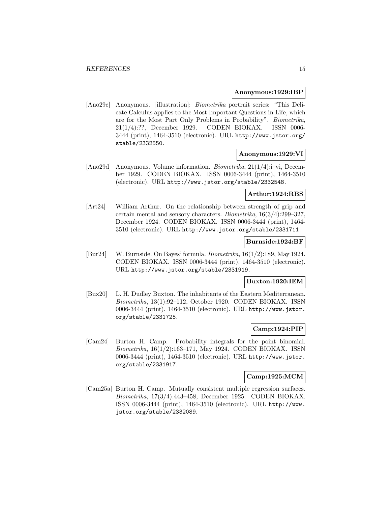#### **Anonymous:1929:IBP**

[Ano29c] Anonymous. [illustration]: Biometrika portrait series: "This Delicate Calculus applies to the Most Important Questions in Life, which are for the Most Part Only Problems in Probability". Biometrika, 21(1/4):??, December 1929. CODEN BIOKAX. ISSN 0006- 3444 (print), 1464-3510 (electronic). URL http://www.jstor.org/ stable/2332550.

#### **Anonymous:1929:VI**

[Ano29d] Anonymous. Volume information. *Biometrika*,  $21(1/4)$ :i–vi, December 1929. CODEN BIOKAX. ISSN 0006-3444 (print), 1464-3510 (electronic). URL http://www.jstor.org/stable/2332548.

# **Arthur:1924:RBS**

[Art24] William Arthur. On the relationship between strength of grip and certain mental and sensory characters. Biometrika, 16(3/4):299–327, December 1924. CODEN BIOKAX. ISSN 0006-3444 (print), 1464- 3510 (electronic). URL http://www.jstor.org/stable/2331711.

### **Burnside:1924:BF**

[Bur24] W. Burnside. On Bayes' formula. *Biometrika*,  $16(1/2)$ :189, May 1924. CODEN BIOKAX. ISSN 0006-3444 (print), 1464-3510 (electronic). URL http://www.jstor.org/stable/2331919.

# **Buxton:1920:IEM**

[Bux20] L. H. Dudley Buxton. The inhabitants of the Eastern Mediterranean. Biometrika, 13(1):92–112, October 1920. CODEN BIOKAX. ISSN 0006-3444 (print), 1464-3510 (electronic). URL http://www.jstor. org/stable/2331725.

# **Camp:1924:PIP**

[Cam24] Burton H. Camp. Probability integrals for the point binomial. Biometrika, 16(1/2):163–171, May 1924. CODEN BIOKAX. ISSN 0006-3444 (print), 1464-3510 (electronic). URL http://www.jstor. org/stable/2331917.

#### **Camp:1925:MCM**

[Cam25a] Burton H. Camp. Mutually consistent multiple regression surfaces. Biometrika, 17(3/4):443–458, December 1925. CODEN BIOKAX. ISSN 0006-3444 (print), 1464-3510 (electronic). URL http://www. jstor.org/stable/2332089.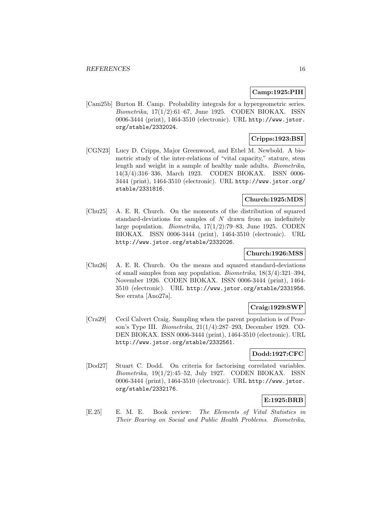# **Camp:1925:PIH**

[Cam25b] Burton H. Camp. Probability integrals for a hypergeometric series. Biometrika, 17(1/2):61–67, June 1925. CODEN BIOKAX. ISSN 0006-3444 (print), 1464-3510 (electronic). URL http://www.jstor. org/stable/2332024.

# **Cripps:1923:BSI**

[CGN23] Lucy D. Cripps, Major Greenwood, and Ethel M. Newbold. A biometric study of the inter-relations of "vital capacity," stature, stem length and weight in a sample of healthy male adults. Biometrika, 14(3/4):316–336, March 1923. CODEN BIOKAX. ISSN 0006- 3444 (print), 1464-3510 (electronic). URL http://www.jstor.org/ stable/2331816.

# **Church:1925:MDS**

[Chu25] A. E. R. Church. On the moments of the distribution of squared standard-deviations for samples of  $N$  drawn from an indefinitely large population. *Biometrika*,  $17(1/2)$ :79–83, June 1925. CODEN BIOKAX. ISSN 0006-3444 (print), 1464-3510 (electronic). URL http://www.jstor.org/stable/2332026.

# **Church:1926:MSS**

[Chu26] A. E. R. Church. On the means and squared standard-deviations of small samples from any population. Biometrika, 18(3/4):321–394, November 1926. CODEN BIOKAX. ISSN 0006-3444 (print), 1464- 3510 (electronic). URL http://www.jstor.org/stable/2331956. See errata [Ano27a].

# **Craig:1929:SWP**

[Cra29] Cecil Calvert Craig. Sampling when the parent population is of Pearson's Type III. Biometrika, 21(1/4):287–293, December 1929. CO-DEN BIOKAX. ISSN 0006-3444 (print), 1464-3510 (electronic). URL http://www.jstor.org/stable/2332561.

# **Dodd:1927:CFC**

[Dod27] Stuart C. Dodd. On criteria for factorising correlated variables. Biometrika, 19(1/2):45–52, July 1927. CODEN BIOKAX. ISSN 0006-3444 (print), 1464-3510 (electronic). URL http://www.jstor. org/stable/2332176.

# **E:1925:BRB**

[E.25] E. M. E. Book review: The Elements of Vital Statistics in Their Bearing on Social and Public Health Problems. Biometrika,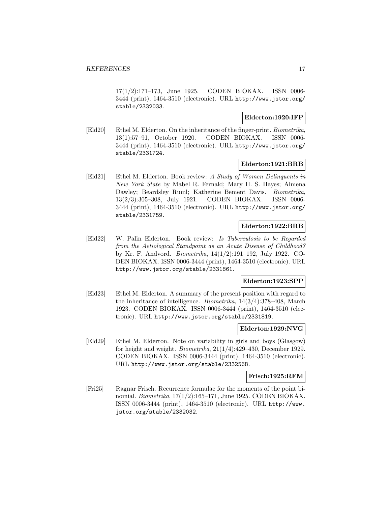17(1/2):171–173, June 1925. CODEN BIOKAX. ISSN 0006- 3444 (print), 1464-3510 (electronic). URL http://www.jstor.org/ stable/2332033.

# **Elderton:1920:IFP**

[Eld20] Ethel M. Elderton. On the inheritance of the finger-print. Biometrika, 13(1):57–91, October 1920. CODEN BIOKAX. ISSN 0006- 3444 (print), 1464-3510 (electronic). URL http://www.jstor.org/ stable/2331724.

# **Elderton:1921:BRB**

[Eld21] Ethel M. Elderton. Book review: A Study of Women Delinquents in New York State by Mabel R. Fernald; Mary H. S. Hayes; Almena Dawley; Beardsley Ruml; Katherine Bement Davis. Biometrika, 13(2/3):305–308, July 1921. CODEN BIOKAX. ISSN 0006- 3444 (print), 1464-3510 (electronic). URL http://www.jstor.org/ stable/2331759.

# **Elderton:1922:BRB**

[Eld22] W. Palin Elderton. Book review: Is Tuberculosis to be Regarded from the Aetiological Standpoint as an Acute Disease of Childhood? by Kr. F. Andvord. Biometrika, 14(1/2):191–192, July 1922. CO-DEN BIOKAX. ISSN 0006-3444 (print), 1464-3510 (electronic). URL http://www.jstor.org/stable/2331861.

# **Elderton:1923:SPP**

[Eld23] Ethel M. Elderton. A summary of the present position with regard to the inheritance of intelligence. Biometrika, 14(3/4):378–408, March 1923. CODEN BIOKAX. ISSN 0006-3444 (print), 1464-3510 (electronic). URL http://www.jstor.org/stable/2331819.

# **Elderton:1929:NVG**

[Eld29] Ethel M. Elderton. Note on variability in girls and boys (Glasgow) for height and weight. Biometrika, 21(1/4):429–430, December 1929. CODEN BIOKAX. ISSN 0006-3444 (print), 1464-3510 (electronic). URL http://www.jstor.org/stable/2332568.

#### **Frisch:1925:RFM**

[Fri25] Ragnar Frisch. Recurrence formulae for the moments of the point binomial. Biometrika, 17(1/2):165–171, June 1925. CODEN BIOKAX. ISSN 0006-3444 (print), 1464-3510 (electronic). URL http://www. jstor.org/stable/2332032.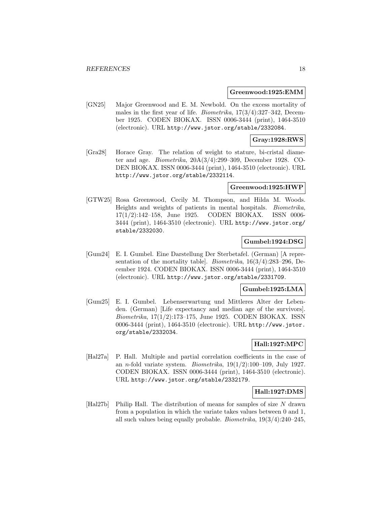#### **Greenwood:1925:EMM**

[GN25] Major Greenwood and E. M. Newbold. On the excess mortality of males in the first year of life. *Biometrika*,  $17(3/4)$ : 327–342, December 1925. CODEN BIOKAX. ISSN 0006-3444 (print), 1464-3510 (electronic). URL http://www.jstor.org/stable/2332084.

# **Gray:1928:RWS**

[Gra28] Horace Gray. The relation of weight to stature, bi-cristal diameter and age. Biometrika, 20A(3/4):299–309, December 1928. CO-DEN BIOKAX. ISSN 0006-3444 (print), 1464-3510 (electronic). URL http://www.jstor.org/stable/2332114.

#### **Greenwood:1925:HWP**

[GTW25] Rosa Greenwood, Cecily M. Thompson, and Hilda M. Woods. Heights and weights of patients in mental hospitals. Biometrika, 17(1/2):142–158, June 1925. CODEN BIOKAX. ISSN 0006- 3444 (print), 1464-3510 (electronic). URL http://www.jstor.org/ stable/2332030.

# **Gumbel:1924:DSG**

[Gum24] E. I. Gumbel. Eine Darstellung Der Sterbetafel. (German) [A representation of the mortality table]. Biometrika, 16(3/4):283–296, December 1924. CODEN BIOKAX. ISSN 0006-3444 (print), 1464-3510 (electronic). URL http://www.jstor.org/stable/2331709.

#### **Gumbel:1925:LMA**

[Gum25] E. I. Gumbel. Lebenserwartung und Mittleres Alter der Lebenden. (German) [Life expectancy and median age of the survivors]. Biometrika, 17(1/2):173–175, June 1925. CODEN BIOKAX. ISSN 0006-3444 (print), 1464-3510 (electronic). URL http://www.jstor. org/stable/2332034.

# **Hall:1927:MPC**

[Hal27a] P. Hall. Multiple and partial correlation coefficients in the case of an *n*-fold variate system. *Biometrika*,  $19(1/2):100-109$ , July 1927. CODEN BIOKAX. ISSN 0006-3444 (print), 1464-3510 (electronic). URL http://www.jstor.org/stable/2332179.

# **Hall:1927:DMS**

[Hal27b] Philip Hall. The distribution of means for samples of size N drawn from a population in which the variate takes values between 0 and 1, all such values being equally probable. *Biometrika*,  $19(3/4)$ :  $240-245$ ,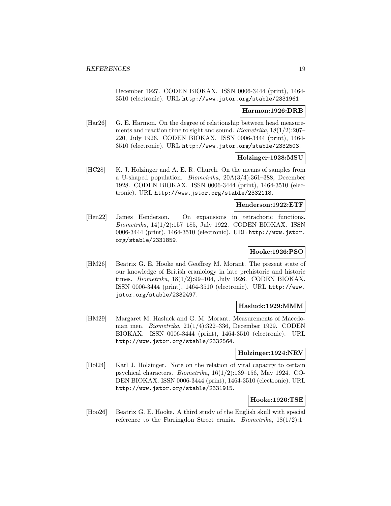December 1927. CODEN BIOKAX. ISSN 0006-3444 (print), 1464- 3510 (electronic). URL http://www.jstor.org/stable/2331961.

### **Harmon:1926:DRB**

[Har26] G. E. Harmon. On the degree of relationship between head measurements and reaction time to sight and sound. Biometrika, 18(1/2):207– 220, July 1926. CODEN BIOKAX. ISSN 0006-3444 (print), 1464- 3510 (electronic). URL http://www.jstor.org/stable/2332503.

# **Holzinger:1928:MSU**

[HC28] K. J. Holzinger and A. E. R. Church. On the means of samples from a U-shaped population. Biometrika, 20A(3/4):361–388, December 1928. CODEN BIOKAX. ISSN 0006-3444 (print), 1464-3510 (electronic). URL http://www.jstor.org/stable/2332118.

#### **Henderson:1922:ETF**

[Hen22] James Henderson. On expansions in tetrachoric functions. Biometrika, 14(1/2):157–185, July 1922. CODEN BIOKAX. ISSN 0006-3444 (print), 1464-3510 (electronic). URL http://www.jstor. org/stable/2331859.

# **Hooke:1926:PSO**

[HM26] Beatrix G. E. Hooke and Geoffrey M. Morant. The present state of our knowledge of British craniology in late prehistoric and historic times. Biometrika, 18(1/2):99–104, July 1926. CODEN BIOKAX. ISSN 0006-3444 (print), 1464-3510 (electronic). URL http://www. jstor.org/stable/2332497.

### **Hasluck:1929:MMM**

[HM29] Margaret M. Hasluck and G. M. Morant. Measurements of Macedonian men. Biometrika, 21(1/4):322–336, December 1929. CODEN BIOKAX. ISSN 0006-3444 (print), 1464-3510 (electronic). URL http://www.jstor.org/stable/2332564.

#### **Holzinger:1924:NRV**

[Hol24] Karl J. Holzinger. Note on the relation of vital capacity to certain psychical characters. Biometrika, 16(1/2):139–156, May 1924. CO-DEN BIOKAX. ISSN 0006-3444 (print), 1464-3510 (electronic). URL http://www.jstor.org/stable/2331915.

# **Hooke:1926:TSE**

[Hoo26] Beatrix G. E. Hooke. A third study of the English skull with special reference to the Farringdon Street crania. *Biometrika*,  $18(1/2)$ :1–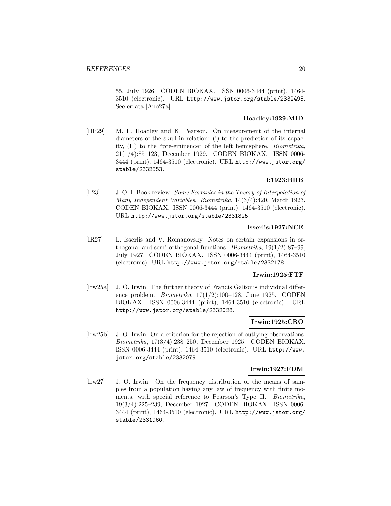55, July 1926. CODEN BIOKAX. ISSN 0006-3444 (print), 1464- 3510 (electronic). URL http://www.jstor.org/stable/2332495. See errata [Ano27a].

# **Hoadley:1929:MID**

[HP29] M. F. Hoadley and K. Pearson. On measurement of the internal diameters of the skull in relation: (i) to the prediction of its capacity, (II) to the "pre-eminence" of the left hemisphere. Biometrika, 21(1/4):85–123, December 1929. CODEN BIOKAX. ISSN 0006- 3444 (print), 1464-3510 (electronic). URL http://www.jstor.org/ stable/2332553.

# **I:1923:BRB**

[I.23] J. O. I. Book review: Some Formulas in the Theory of Interpolation of Many Independent Variables. Biometrika, 14(3/4):420, March 1923. CODEN BIOKAX. ISSN 0006-3444 (print), 1464-3510 (electronic). URL http://www.jstor.org/stable/2331825.

# **Isserlis:1927:NCE**

[IR27] L. Isserlis and V. Romanovsky. Notes on certain expansions in orthogonal and semi-orthogonal functions. Biometrika, 19(1/2):87–99, July 1927. CODEN BIOKAX. ISSN 0006-3444 (print), 1464-3510 (electronic). URL http://www.jstor.org/stable/2332178.

# **Irwin:1925:FTF**

[Irw25a] J. O. Irwin. The further theory of Francis Galton's individual difference problem. Biometrika, 17(1/2):100–128, June 1925. CODEN BIOKAX. ISSN 0006-3444 (print), 1464-3510 (electronic). URL http://www.jstor.org/stable/2332028.

# **Irwin:1925:CRO**

[Irw25b] J. O. Irwin. On a criterion for the rejection of outlying observations. Biometrika, 17(3/4):238–250, December 1925. CODEN BIOKAX. ISSN 0006-3444 (print), 1464-3510 (electronic). URL http://www. jstor.org/stable/2332079.

# **Irwin:1927:FDM**

[Irw27] J. O. Irwin. On the frequency distribution of the means of samples from a population having any law of frequency with finite moments, with special reference to Pearson's Type II. Biometrika, 19(3/4):225–239, December 1927. CODEN BIOKAX. ISSN 0006- 3444 (print), 1464-3510 (electronic). URL http://www.jstor.org/ stable/2331960.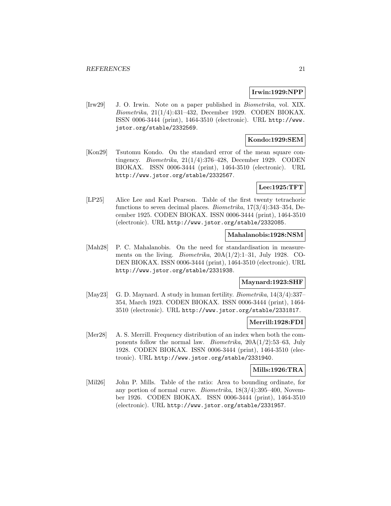# **Irwin:1929:NPP**

[Irw29] J. O. Irwin. Note on a paper published in Biometrika, vol. XIX. Biometrika, 21(1/4):431–432, December 1929. CODEN BIOKAX. ISSN 0006-3444 (print), 1464-3510 (electronic). URL http://www. jstor.org/stable/2332569.

# **Kondo:1929:SEM**

[Kon29] Tsutomu Kondo. On the standard error of the mean square contingency. *Biometrika*,  $21(1/4)$ :376–428, December 1929. CODEN BIOKAX. ISSN 0006-3444 (print), 1464-3510 (electronic). URL http://www.jstor.org/stable/2332567.

# **Lee:1925:TFT**

[LP25] Alice Lee and Karl Pearson. Table of the first twenty tetrachoric functions to seven decimal places. Biometrika, 17(3/4):343–354, December 1925. CODEN BIOKAX. ISSN 0006-3444 (print), 1464-3510 (electronic). URL http://www.jstor.org/stable/2332085.

# **Mahalanobis:1928:NSM**

[Mah28] P. C. Mahalanobis. On the need for standardisation in measurements on the living. Biometrika, 20A(1/2):1–31, July 1928. CO-DEN BIOKAX. ISSN 0006-3444 (print), 1464-3510 (electronic). URL http://www.jstor.org/stable/2331938.

# **Maynard:1923:SHF**

[May23] G. D. Maynard. A study in human fertility. *Biometrika*, 14(3/4):337– 354, March 1923. CODEN BIOKAX. ISSN 0006-3444 (print), 1464- 3510 (electronic). URL http://www.jstor.org/stable/2331817.

# **Merrill:1928:FDI**

[Mer28] A. S. Merrill. Frequency distribution of an index when both the components follow the normal law. *Biometrika*,  $20A(1/2):53-63$ , July 1928. CODEN BIOKAX. ISSN 0006-3444 (print), 1464-3510 (electronic). URL http://www.jstor.org/stable/2331940.

### **Mills:1926:TRA**

[Mil26] John P. Mills. Table of the ratio: Area to bounding ordinate, for any portion of normal curve. *Biometrika*,  $18(3/4)$ :395-400, November 1926. CODEN BIOKAX. ISSN 0006-3444 (print), 1464-3510 (electronic). URL http://www.jstor.org/stable/2331957.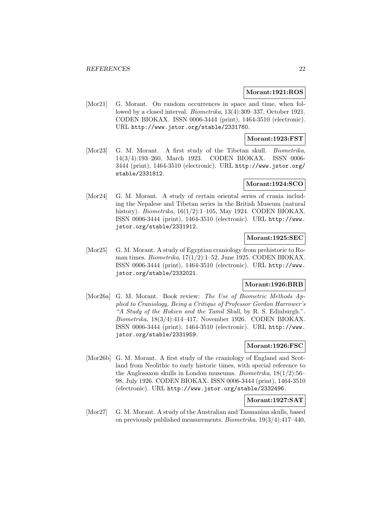#### **Morant:1921:ROS**

[Mor21] G. Morant. On random occurrences in space and time, when followed by a closed interval. Biometrika, 13(4):309–337, October 1921. CODEN BIOKAX. ISSN 0006-3444 (print), 1464-3510 (electronic). URL http://www.jstor.org/stable/2331760.

# **Morant:1923:FST**

[Mor23] G. M. Morant. A first study of the Tibetan skull. *Biometrika*, 14(3/4):193–260, March 1923. CODEN BIOKAX. ISSN 0006- 3444 (print), 1464-3510 (electronic). URL http://www.jstor.org/ stable/2331812.

# **Morant:1924:SCO**

[Mor24] G. M. Morant. A study of certain oriental series of crania including the Nepalese and Tibetan series in the British Museum (natural history). Biometrika, 16(1/2):1–105, May 1924. CODEN BIOKAX. ISSN 0006-3444 (print), 1464-3510 (electronic). URL http://www. jstor.org/stable/2331912.

# **Morant:1925:SEC**

[Mor25] G. M. Morant. A study of Egyptian craniology from prehistoric to Roman times. *Biometrika*,  $17(1/2)$ :1–52, June 1925. CODEN BIOKAX. ISSN 0006-3444 (print), 1464-3510 (electronic). URL http://www. jstor.org/stable/2332021.

# **Morant:1926:BRB**

[Mor26a] G. M. Morant. Book review: The Use of Biometric Methods Applied to Craniology, Being a Critique of Professor Gordon Harrower's "A Study of the Hokien and the Tamil Skull, by R. S. Edinburgh.". Biometrika, 18(3/4):414–417, November 1926. CODEN BIOKAX. ISSN 0006-3444 (print), 1464-3510 (electronic). URL http://www. jstor.org/stable/2331959.

### **Morant:1926:FSC**

[Mor26b] G. M. Morant. A first study of the craniology of England and Scotland from Neolithic to early historic times, with special reference to the Anglosaxon skulls in London museums. Biometrika, 18(1/2):56– 98, July 1926. CODEN BIOKAX. ISSN 0006-3444 (print), 1464-3510 (electronic). URL http://www.jstor.org/stable/2332496.

# **Morant:1927:SAT**

[Mor27] G. M. Morant. A study of the Australian and Tasmanian skulls, based on previously published measurements. Biometrika,  $19(3/4):417-440$ ,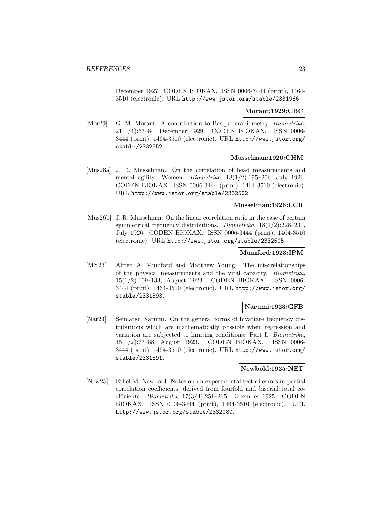December 1927. CODEN BIOKAX. ISSN 0006-3444 (print), 1464- 3510 (electronic). URL http://www.jstor.org/stable/2331966.

#### **Morant:1929:CBC**

[Mor29] G. M. Morant. A contribution to Basque craniometry. *Biometrika*, 21(1/4):67–84, December 1929. CODEN BIOKAX. ISSN 0006- 3444 (print), 1464-3510 (electronic). URL http://www.jstor.org/ stable/2332552.

# **Musselman:1926:CHM**

[Mus26a] J. R. Musselman. On the correlation of head measurements and mental agility: Women. Biometrika, 18(1/2):195–206, July 1926. CODEN BIOKAX. ISSN 0006-3444 (print), 1464-3510 (electronic). URL http://www.jstor.org/stable/2332502.

#### **Musselman:1926:LCR**

[Mus26b] J. R. Musselman. On the linear correlation ratio in the case of certain symmetrical frequency distributions. Biometrika, 18(1/2):228–231, July 1926. CODEN BIOKAX. ISSN 0006-3444 (print), 1464-3510 (electronic). URL http://www.jstor.org/stable/2332505.

# **Mumford:1923:IPM**

[MY23] Alfred A. Mumford and Matthew Young. The interrelationships of the physical measurements and the vital capacity. Biometrika, 15(1/2):109–133, August 1923. CODEN BIOKAX. ISSN 0006- 3444 (print), 1464-3510 (electronic). URL http://www.jstor.org/ stable/2331893.

# **Narumi:1923:GFB**

[Nar23] Seimatsu Narumi. On the general forms of bivariate frequency distributions which are mathematically possible when regression and variation are subjected to limiting conditions: Part I. Biometrika, 15(1/2):77–88, August 1923. CODEN BIOKAX. ISSN 0006- 3444 (print), 1464-3510 (electronic). URL http://www.jstor.org/ stable/2331891.

# **Newbold:1925:NET**

[New25] Ethel M. Newbold. Notes on an experimental test of errors in partial correlation coefficients, derived from fourfold and biserial total coefficients. Biometrika, 17(3/4):251–265, December 1925. CODEN BIOKAX. ISSN 0006-3444 (print), 1464-3510 (electronic). URL http://www.jstor.org/stable/2332080.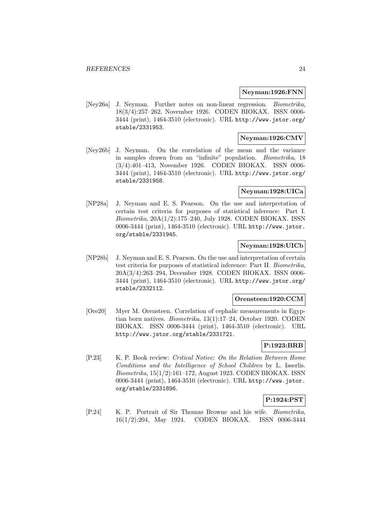#### **Neyman:1926:FNN**

[Ney26a] J. Neyman. Further notes on non-linear regression. Biometrika, 18(3/4):257–262, November 1926. CODEN BIOKAX. ISSN 0006- 3444 (print), 1464-3510 (electronic). URL http://www.jstor.org/ stable/2331953.

# **Neyman:1926:CMV**

[Ney26b] J. Neyman. On the correlation of the mean and the variance in samples drawn from an "infinite" population. Biometrika, 18 (3/4):401–413, November 1926. CODEN BIOKAX. ISSN 0006- 3444 (print), 1464-3510 (electronic). URL http://www.jstor.org/ stable/2331958.

# **Neyman:1928:UICa**

[NP28a] J. Neyman and E. S. Pearson. On the use and interpretation of certain test criteria for purposes of statistical inference: Part I. Biometrika, 20A(1/2):175–240, July 1928. CODEN BIOKAX. ISSN 0006-3444 (print), 1464-3510 (electronic). URL http://www.jstor. org/stable/2331945.

# **Neyman:1928:UICb**

[NP28b] J. Neyman and E. S. Pearson. On the use and interpretation of certain test criteria for purposes of statistical inference: Part II. Biometrika, 20A(3/4):263–294, December 1928. CODEN BIOKAX. ISSN 0006- 3444 (print), 1464-3510 (electronic). URL http://www.jstor.org/ stable/2332112.

# **Orensteen:1920:CCM**

[Ore20] Myer M. Orensteen. Correlation of cephalic measurements in Egyptian born natives. Biometrika, 13(1):17–24, October 1920. CODEN BIOKAX. ISSN 0006-3444 (print), 1464-3510 (electronic). URL http://www.jstor.org/stable/2331721.

# **P:1923:BRB**

[P.23] K. P. Book review: Critical Notice: On the Relation Between Home Conditions and the Intelligence of School Children by L. Isserlis. Biometrika, 15(1/2):161–172, August 1923. CODEN BIOKAX. ISSN 0006-3444 (print), 1464-3510 (electronic). URL http://www.jstor. org/stable/2331896.

# **P:1924:PST**

[P.24] K. P. Portrait of Sir Thomas Browne and his wife. Biometrika, 16(1/2):204, May 1924. CODEN BIOKAX. ISSN 0006-3444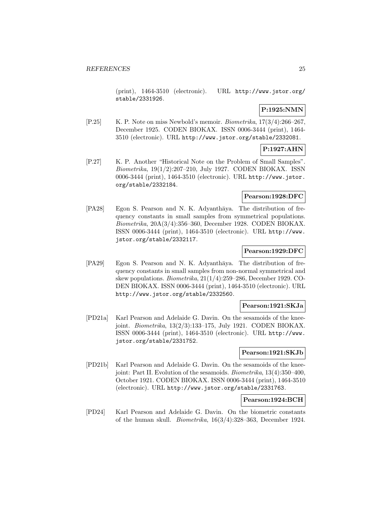(print), 1464-3510 (electronic). URL http://www.jstor.org/ stable/2331926.

# **P:1925:NMN**

[P.25] K. P. Note on miss Newbold's memoir. *Biometrika*,  $17(3/4):266-267$ , December 1925. CODEN BIOKAX. ISSN 0006-3444 (print), 1464- 3510 (electronic). URL http://www.jstor.org/stable/2332081.

# **P:1927:AHN**

[P.27] K. P. Another "Historical Note on the Problem of Small Samples". Biometrika, 19(1/2):207–210, July 1927. CODEN BIOKAX. ISSN 0006-3444 (print), 1464-3510 (electronic). URL http://www.jstor. org/stable/2332184.

# **Pearson:1928:DFC**

[PA28] Egon S. Pearson and N. K. Adyanthaya. The distribution of frequency constants in small samples from symmetrical populations. Biometrika, 20A(3/4):356–360, December 1928. CODEN BIOKAX. ISSN 0006-3444 (print), 1464-3510 (electronic). URL http://www. jstor.org/stable/2332117.

# **Pearson:1929:DFC**

[PA29] Egon S. Pearson and N. K. Adyanthaya. The distribution of frequency constants in small samples from non-normal symmetrical and skew populations. Biometrika, 21(1/4):259–286, December 1929. CO-DEN BIOKAX. ISSN 0006-3444 (print), 1464-3510 (electronic). URL http://www.jstor.org/stable/2332560.

# **Pearson:1921:SKJa**

[PD21a] Karl Pearson and Adelaide G. Davin. On the sesamoids of the kneejoint. Biometrika, 13(2/3):133–175, July 1921. CODEN BIOKAX. ISSN 0006-3444 (print), 1464-3510 (electronic). URL http://www. jstor.org/stable/2331752.

# **Pearson:1921:SKJb**

[PD21b] Karl Pearson and Adelaide G. Davin. On the sesamoids of the kneejoint: Part II. Evolution of the sesamoids. Biometrika, 13(4):350–400, October 1921. CODEN BIOKAX. ISSN 0006-3444 (print), 1464-3510 (electronic). URL http://www.jstor.org/stable/2331763.

# **Pearson:1924:BCH**

[PD24] Karl Pearson and Adelaide G. Davin. On the biometric constants of the human skull. *Biometrika*,  $16(3/4)$ :328–363, December 1924.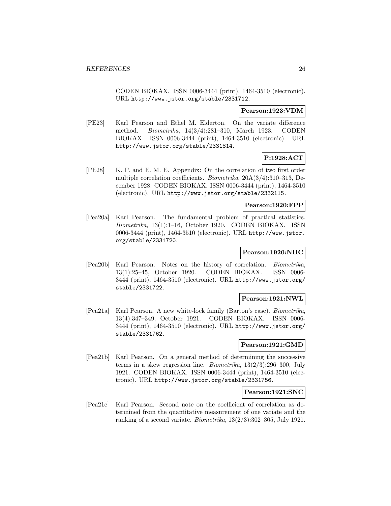CODEN BIOKAX. ISSN 0006-3444 (print), 1464-3510 (electronic). URL http://www.jstor.org/stable/2331712.

#### **Pearson:1923:VDM**

[PE23] Karl Pearson and Ethel M. Elderton. On the variate difference method. Biometrika, 14(3/4):281–310, March 1923. CODEN BIOKAX. ISSN 0006-3444 (print), 1464-3510 (electronic). URL http://www.jstor.org/stable/2331814.

# **P:1928:ACT**

[PE28] K. P. and E. M. E. Appendix: On the correlation of two first order multiple correlation coefficients. Biometrika, 20A(3/4):310–313, December 1928. CODEN BIOKAX. ISSN 0006-3444 (print), 1464-3510 (electronic). URL http://www.jstor.org/stable/2332115.

#### **Pearson:1920:FPP**

[Pea20a] Karl Pearson. The fundamental problem of practical statistics. Biometrika, 13(1):1–16, October 1920. CODEN BIOKAX. ISSN 0006-3444 (print), 1464-3510 (electronic). URL http://www.jstor. org/stable/2331720.

# **Pearson:1920:NHC**

[Pea20b] Karl Pearson. Notes on the history of correlation. Biometrika, 13(1):25–45, October 1920. CODEN BIOKAX. ISSN 0006- 3444 (print), 1464-3510 (electronic). URL http://www.jstor.org/ stable/2331722.

#### **Pearson:1921:NWL**

[Pea21a] Karl Pearson. A new white-lock family (Barton's case). Biometrika, 13(4):347–349, October 1921. CODEN BIOKAX. ISSN 0006- 3444 (print), 1464-3510 (electronic). URL http://www.jstor.org/ stable/2331762.

# **Pearson:1921:GMD**

[Pea21b] Karl Pearson. On a general method of determining the successive terms in a skew regression line. Biometrika, 13(2/3):296–300, July 1921. CODEN BIOKAX. ISSN 0006-3444 (print), 1464-3510 (electronic). URL http://www.jstor.org/stable/2331756.

#### **Pearson:1921:SNC**

[Pea21c] Karl Pearson. Second note on the coefficient of correlation as determined from the quantitative measurement of one variate and the ranking of a second variate. *Biometrika*,  $13(2/3)$ :302–305, July 1921.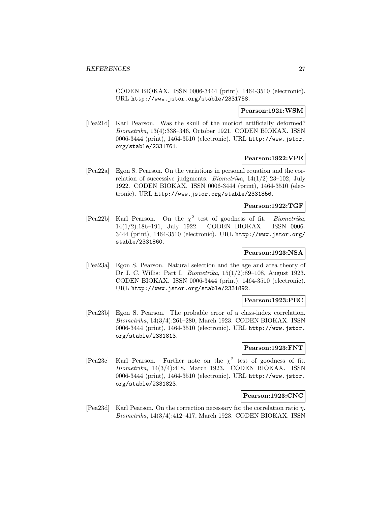CODEN BIOKAX. ISSN 0006-3444 (print), 1464-3510 (electronic). URL http://www.jstor.org/stable/2331758.

# **Pearson:1921:WSM**

[Pea21d] Karl Pearson. Was the skull of the moriori artificially deformed? Biometrika, 13(4):338–346, October 1921. CODEN BIOKAX. ISSN 0006-3444 (print), 1464-3510 (electronic). URL http://www.jstor. org/stable/2331761.

# **Pearson:1922:VPE**

[Pea22a] Egon S. Pearson. On the variations in personal equation and the correlation of successive judgments. *Biometrika*,  $14(1/2):23-102$ , July 1922. CODEN BIOKAX. ISSN 0006-3444 (print), 1464-3510 (electronic). URL http://www.jstor.org/stable/2331856.

#### **Pearson:1922:TGF**

[Pea22b] Karl Pearson. On the  $\chi^2$  test of goodness of fit. *Biometrika*, 14(1/2):186–191, July 1922. CODEN BIOKAX. ISSN 0006- 3444 (print), 1464-3510 (electronic). URL http://www.jstor.org/ stable/2331860.

# **Pearson:1923:NSA**

[Pea23a] Egon S. Pearson. Natural selection and the age and area theory of Dr J. C. Willis: Part I. Biometrika, 15(1/2):89–108, August 1923. CODEN BIOKAX. ISSN 0006-3444 (print), 1464-3510 (electronic). URL http://www.jstor.org/stable/2331892.

# **Pearson:1923:PEC**

[Pea23b] Egon S. Pearson. The probable error of a class-index correlation. Biometrika, 14(3/4):261–280, March 1923. CODEN BIOKAX. ISSN 0006-3444 (print), 1464-3510 (electronic). URL http://www.jstor. org/stable/2331813.

# **Pearson:1923:FNT**

[Pea23c] Karl Pearson. Further note on the  $\chi^2$  test of goodness of fit. Biometrika, 14(3/4):418, March 1923. CODEN BIOKAX. ISSN 0006-3444 (print), 1464-3510 (electronic). URL http://www.jstor. org/stable/2331823.

# **Pearson:1923:CNC**

[Pea23d] Karl Pearson. On the correction necessary for the correlation ratio η. Biometrika, 14(3/4):412–417, March 1923. CODEN BIOKAX. ISSN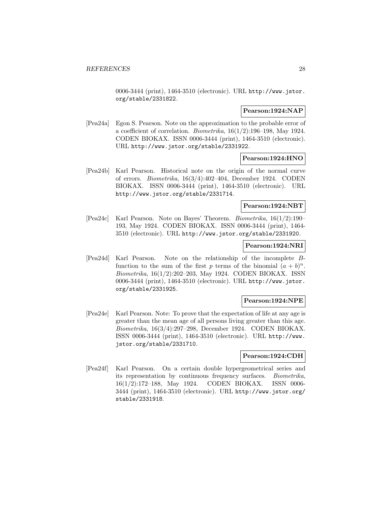0006-3444 (print), 1464-3510 (electronic). URL http://www.jstor. org/stable/2331822.

# **Pearson:1924:NAP**

[Pea24a] Egon S. Pearson. Note on the approximation to the probable error of a coefficient of correlation. *Biometrika*,  $16(1/2)$ :196–198, May 1924. CODEN BIOKAX. ISSN 0006-3444 (print), 1464-3510 (electronic). URL http://www.jstor.org/stable/2331922.

# **Pearson:1924:HNO**

[Pea24b] Karl Pearson. Historical note on the origin of the normal curve of errors. Biometrika, 16(3/4):402–404, December 1924. CODEN BIOKAX. ISSN 0006-3444 (print), 1464-3510 (electronic). URL http://www.jstor.org/stable/2331714.

### **Pearson:1924:NBT**

[Pea24c] Karl Pearson. Note on Bayes' Theorem. Biometrika, 16(1/2):190– 193, May 1924. CODEN BIOKAX. ISSN 0006-3444 (print), 1464- 3510 (electronic). URL http://www.jstor.org/stable/2331920.

#### **Pearson:1924:NRI**

[Pea24d] Karl Pearson. Note on the relationship of the incomplete Bfunction to the sum of the first p terms of the binomial  $(a + b)^n$ . Biometrika, 16(1/2):202–203, May 1924. CODEN BIOKAX. ISSN 0006-3444 (print), 1464-3510 (electronic). URL http://www.jstor. org/stable/2331925.

# **Pearson:1924:NPE**

[Pea24e] Karl Pearson. Note: To prove that the expectation of life at any age is greater than the mean age of all persons living greater than this age. Biometrika, 16(3/4):297–298, December 1924. CODEN BIOKAX. ISSN 0006-3444 (print), 1464-3510 (electronic). URL http://www. jstor.org/stable/2331710.

#### **Pearson:1924:CDH**

[Pea24f] Karl Pearson. On a certain double hypergeometrical series and its representation by continuous frequency surfaces. Biometrika, 16(1/2):172–188, May 1924. CODEN BIOKAX. ISSN 0006- 3444 (print), 1464-3510 (electronic). URL http://www.jstor.org/ stable/2331918.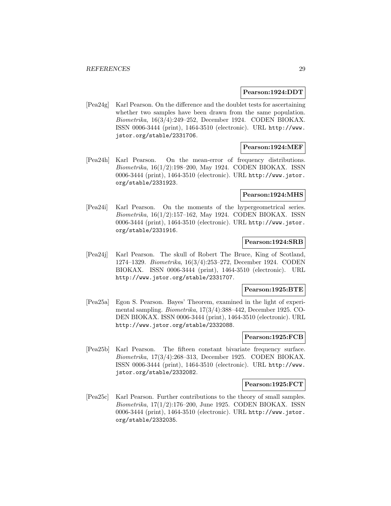#### **Pearson:1924:DDT**

[Pea24g] Karl Pearson. On the difference and the doublet tests for ascertaining whether two samples have been drawn from the same population. Biometrika, 16(3/4):249–252, December 1924. CODEN BIOKAX. ISSN 0006-3444 (print), 1464-3510 (electronic). URL http://www. jstor.org/stable/2331706.

# **Pearson:1924:MEF**

[Pea24h] Karl Pearson. On the mean-error of frequency distributions. Biometrika, 16(1/2):198–200, May 1924. CODEN BIOKAX. ISSN 0006-3444 (print), 1464-3510 (electronic). URL http://www.jstor. org/stable/2331923.

# **Pearson:1924:MHS**

[Pea24i] Karl Pearson. On the moments of the hypergeometrical series. Biometrika, 16(1/2):157–162, May 1924. CODEN BIOKAX. ISSN 0006-3444 (print), 1464-3510 (electronic). URL http://www.jstor. org/stable/2331916.

#### **Pearson:1924:SRB**

[Pea24j] Karl Pearson. The skull of Robert The Bruce, King of Scotland, 1274–1329. Biometrika, 16(3/4):253–272, December 1924. CODEN BIOKAX. ISSN 0006-3444 (print), 1464-3510 (electronic). URL http://www.jstor.org/stable/2331707.

#### **Pearson:1925:BTE**

[Pea25a] Egon S. Pearson. Bayes' Theorem, examined in the light of experimental sampling. Biometrika, 17(3/4):388–442, December 1925. CO-DEN BIOKAX. ISSN 0006-3444 (print), 1464-3510 (electronic). URL http://www.jstor.org/stable/2332088.

# **Pearson:1925:FCB**

[Pea25b] Karl Pearson. The fifteen constant bivariate frequency surface. Biometrika, 17(3/4):268–313, December 1925. CODEN BIOKAX. ISSN 0006-3444 (print), 1464-3510 (electronic). URL http://www. jstor.org/stable/2332082.

#### **Pearson:1925:FCT**

[Pea25c] Karl Pearson. Further contributions to the theory of small samples. Biometrika, 17(1/2):176–200, June 1925. CODEN BIOKAX. ISSN 0006-3444 (print), 1464-3510 (electronic). URL http://www.jstor. org/stable/2332035.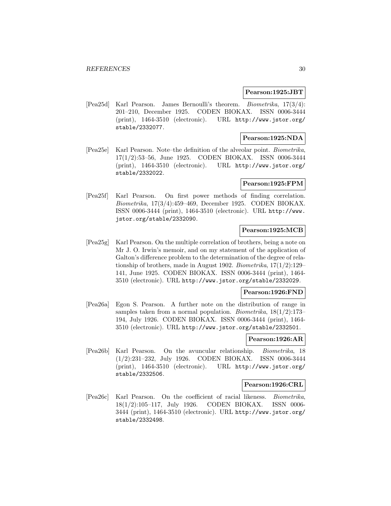#### **Pearson:1925:JBT**

[Pea25d] Karl Pearson. James Bernoulli's theorem. Biometrika, 17(3/4): 201–210, December 1925. CODEN BIOKAX. ISSN 0006-3444 (print), 1464-3510 (electronic). URL http://www.jstor.org/ stable/2332077.

# **Pearson:1925:NDA**

[Pea25e] Karl Pearson. Note–the definition of the alveolar point. Biometrika, 17(1/2):53–56, June 1925. CODEN BIOKAX. ISSN 0006-3444 (print), 1464-3510 (electronic). URL http://www.jstor.org/ stable/2332022.

# **Pearson:1925:FPM**

[Pea25f] Karl Pearson. On first power methods of finding correlation. Biometrika, 17(3/4):459–469, December 1925. CODEN BIOKAX. ISSN 0006-3444 (print), 1464-3510 (electronic). URL http://www. jstor.org/stable/2332090.

# **Pearson:1925:MCB**

[Pea25g] Karl Pearson. On the multiple correlation of brothers, being a note on Mr J. O. Irwin's memoir, and on my statement of the application of Galton's difference problem to the determination of the degree of relationship of brothers, made in August 1902. Biometrika, 17(1/2):129– 141, June 1925. CODEN BIOKAX. ISSN 0006-3444 (print), 1464- 3510 (electronic). URL http://www.jstor.org/stable/2332029.

# **Pearson:1926:FND**

[Pea26a] Egon S. Pearson. A further note on the distribution of range in samples taken from a normal population. *Biometrika*,  $18(1/2):173-$ 194, July 1926. CODEN BIOKAX. ISSN 0006-3444 (print), 1464- 3510 (electronic). URL http://www.jstor.org/stable/2332501.

# **Pearson:1926:AR**

[Pea26b] Karl Pearson. On the avuncular relationship. Biometrika, 18 (1/2):231–232, July 1926. CODEN BIOKAX. ISSN 0006-3444 (print), 1464-3510 (electronic). URL http://www.jstor.org/ stable/2332506.

# **Pearson:1926:CRL**

[Pea26c] Karl Pearson. On the coefficient of racial likeness. Biometrika, 18(1/2):105–117, July 1926. CODEN BIOKAX. ISSN 0006- 3444 (print), 1464-3510 (electronic). URL http://www.jstor.org/ stable/2332498.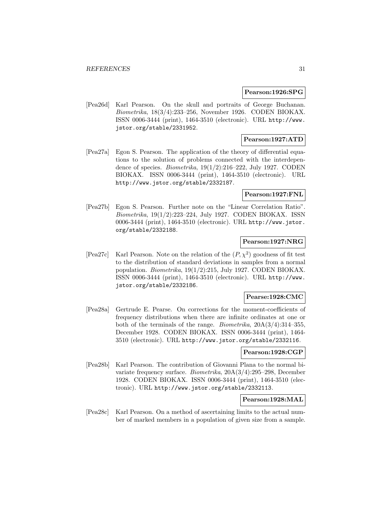#### **Pearson:1926:SPG**

[Pea26d] Karl Pearson. On the skull and portraits of George Buchanan. Biometrika, 18(3/4):233–256, November 1926. CODEN BIOKAX. ISSN 0006-3444 (print), 1464-3510 (electronic). URL http://www. jstor.org/stable/2331952.

# **Pearson:1927:ATD**

[Pea27a] Egon S. Pearson. The application of the theory of differential equations to the solution of problems connected with the interdependence of species. *Biometrika*,  $19(1/2)$ :216–222, July 1927. CODEN BIOKAX. ISSN 0006-3444 (print), 1464-3510 (electronic). URL http://www.jstor.org/stable/2332187.

# **Pearson:1927:FNL**

[Pea27b] Egon S. Pearson. Further note on the "Linear Correlation Ratio". Biometrika, 19(1/2):223–224, July 1927. CODEN BIOKAX. ISSN 0006-3444 (print), 1464-3510 (electronic). URL http://www.jstor. org/stable/2332188.

# **Pearson:1927:NRG**

[Pea27c] Karl Pearson. Note on the relation of the  $(P, \chi^2)$  goodness of fit test to the distribution of standard deviations in samples from a normal population. Biometrika, 19(1/2):215, July 1927. CODEN BIOKAX. ISSN 0006-3444 (print), 1464-3510 (electronic). URL http://www. jstor.org/stable/2332186.

#### **Pearse:1928:CMC**

[Pea28a] Gertrude E. Pearse. On corrections for the moment-coefficients of frequency distributions when there are infinite ordinates at one or both of the terminals of the range. *Biometrika*,  $20A(3/4):314-355$ , December 1928. CODEN BIOKAX. ISSN 0006-3444 (print), 1464- 3510 (electronic). URL http://www.jstor.org/stable/2332116.

#### **Pearson:1928:CGP**

[Pea28b] Karl Pearson. The contribution of Giovanni Plana to the normal bivariate frequency surface. Biometrika, 20A(3/4):295–298, December 1928. CODEN BIOKAX. ISSN 0006-3444 (print), 1464-3510 (electronic). URL http://www.jstor.org/stable/2332113.

# **Pearson:1928:MAL**

[Pea28c] Karl Pearson. On a method of ascertaining limits to the actual number of marked members in a population of given size from a sample.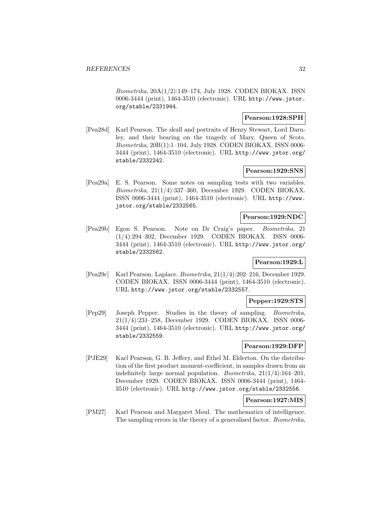Biometrika, 20A(1/2):149–174, July 1928. CODEN BIOKAX. ISSN 0006-3444 (print), 1464-3510 (electronic). URL http://www.jstor. org/stable/2331944.

### **Pearson:1928:SPH**

[Pea28d] Karl Pearson. The skull and portraits of Henry Stewart, Lord Darnley, and their bearing on the tragedy of Mary, Queen of Scots. Biometrika, 20B(1):1–104, July 1928. CODEN BIOKAX. ISSN 0006- 3444 (print), 1464-3510 (electronic). URL http://www.jstor.org/ stable/2332242.

# **Pearson:1929:SNS**

[Pea29a] E. S. Pearson. Some notes on sampling tests with two variables. Biometrika, 21(1/4):337–360, December 1929. CODEN BIOKAX. ISSN 0006-3444 (print), 1464-3510 (electronic). URL http://www. jstor.org/stable/2332565.

### **Pearson:1929:NDC**

[Pea29b] Egon S. Pearson. Note on Dr Craig's paper. Biometrika, 21 (1/4):294–302, December 1929. CODEN BIOKAX. ISSN 0006- 3444 (print), 1464-3510 (electronic). URL http://www.jstor.org/ stable/2332562.

# **Pearson:1929:L**

[Pea29c] Karl Pearson. Laplace. Biometrika, 21(1/4):202–216, December 1929. CODEN BIOKAX. ISSN 0006-3444 (print), 1464-3510 (electronic). URL http://www.jstor.org/stable/2332557.

# **Pepper:1929:STS**

[Pep29] Joseph Pepper. Studies in the theory of sampling. Biometrika, 21(1/4):231–258, December 1929. CODEN BIOKAX. ISSN 0006- 3444 (print), 1464-3510 (electronic). URL http://www.jstor.org/ stable/2332559.

# **Pearson:1929:DFP**

[PJE29] Karl Pearson, G. B. Jeffery, and Ethel M. Elderton. On the distribution of the first product moment-coefficient, in samples drawn from an indefinitely large normal population. Biometrika, 21(1/4):164–201, December 1929. CODEN BIOKAX. ISSN 0006-3444 (print), 1464- 3510 (electronic). URL http://www.jstor.org/stable/2332556.

# **Pearson:1927:MIS**

[PM27] Karl Pearson and Margaret Moul. The mathematics of intelligence. The sampling errors in the theory of a generalised factor. Biometrika,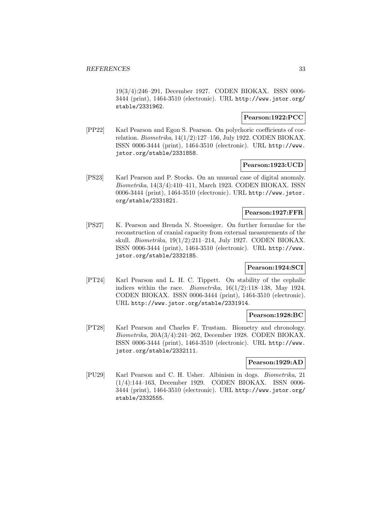19(3/4):246–291, December 1927. CODEN BIOKAX. ISSN 0006- 3444 (print), 1464-3510 (electronic). URL http://www.jstor.org/ stable/2331962.

# **Pearson:1922:PCC**

[PP22] Karl Pearson and Egon S. Pearson. On polychoric coefficients of correlation. Biometrika, 14(1/2):127–156, July 1922. CODEN BIOKAX. ISSN 0006-3444 (print), 1464-3510 (electronic). URL http://www. jstor.org/stable/2331858.

#### **Pearson:1923:UCD**

[PS23] Karl Pearson and P. Stocks. On an unusual case of digital anomaly. Biometrika, 14(3/4):410–411, March 1923. CODEN BIOKAX. ISSN 0006-3444 (print), 1464-3510 (electronic). URL http://www.jstor. org/stable/2331821.

# **Pearson:1927:FFR**

[PS27] K. Pearson and Brenda N. Stoessiger. On further formulae for the reconstruction of cranial capacity from external measurements of the skull. Biometrika, 19(1/2):211–214, July 1927. CODEN BIOKAX. ISSN 0006-3444 (print), 1464-3510 (electronic). URL http://www. jstor.org/stable/2332185.

# **Pearson:1924:SCI**

[PT24] Karl Pearson and L. H. C. Tippett. On stability of the cephalic indices within the race. *Biometrika*,  $16(1/2)$ :118–138, May 1924. CODEN BIOKAX. ISSN 0006-3444 (print), 1464-3510 (electronic). URL http://www.jstor.org/stable/2331914.

# **Pearson:1928:BC**

[PT28] Karl Pearson and Charles F. Trustam. Biometry and chronology. Biometrika, 20A(3/4):241–262, December 1928. CODEN BIOKAX. ISSN 0006-3444 (print), 1464-3510 (electronic). URL http://www. jstor.org/stable/2332111.

# **Pearson:1929:AD**

[PU29] Karl Pearson and C. H. Usher. Albinism in dogs. Biometrika, 21 (1/4):144–163, December 1929. CODEN BIOKAX. ISSN 0006- 3444 (print), 1464-3510 (electronic). URL http://www.jstor.org/ stable/2332555.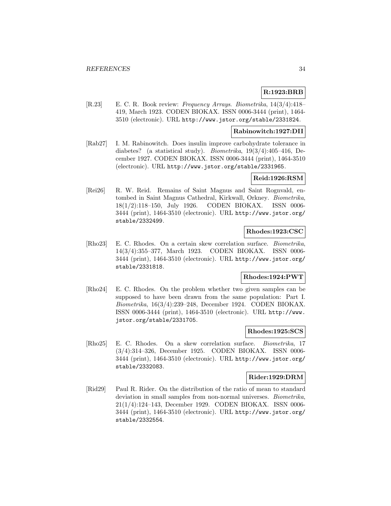# **R:1923:BRB**

[R.23] E. C. R. Book review: Frequency Arrays. Biometrika, 14(3/4):418– 419, March 1923. CODEN BIOKAX. ISSN 0006-3444 (print), 1464- 3510 (electronic). URL http://www.jstor.org/stable/2331824.

### **Rabinowitch:1927:DII**

[Rab27] I. M. Rabinowitch. Does insulin improve carbohydrate tolerance in diabetes? (a statistical study). Biometrika, 19(3/4):405–416, December 1927. CODEN BIOKAX. ISSN 0006-3444 (print), 1464-3510 (electronic). URL http://www.jstor.org/stable/2331965.

# **Reid:1926:RSM**

[Rei26] R. W. Reid. Remains of Saint Magnus and Saint Rognvald, entombed in Saint Magnus Cathedral, Kirkwall, Orkney. Biometrika, 18(1/2):118–150, July 1926. CODEN BIOKAX. ISSN 0006- 3444 (print), 1464-3510 (electronic). URL http://www.jstor.org/ stable/2332499.

# **Rhodes:1923:CSC**

[Rho23] E. C. Rhodes. On a certain skew correlation surface. Biometrika, 14(3/4):355–377, March 1923. CODEN BIOKAX. ISSN 0006- 3444 (print), 1464-3510 (electronic). URL http://www.jstor.org/ stable/2331818.

# **Rhodes:1924:PWT**

[Rho24] E. C. Rhodes. On the problem whether two given samples can be supposed to have been drawn from the same population: Part I. Biometrika, 16(3/4):239–248, December 1924. CODEN BIOKAX. ISSN 0006-3444 (print), 1464-3510 (electronic). URL http://www. jstor.org/stable/2331705.

# **Rhodes:1925:SCS**

[Rho25] E. C. Rhodes. On a skew correlation surface. Biometrika, 17 (3/4):314–326, December 1925. CODEN BIOKAX. ISSN 0006- 3444 (print), 1464-3510 (electronic). URL http://www.jstor.org/ stable/2332083.

#### **Rider:1929:DRM**

[Rid29] Paul R. Rider. On the distribution of the ratio of mean to standard deviation in small samples from non-normal universes. Biometrika, 21(1/4):124–143, December 1929. CODEN BIOKAX. ISSN 0006- 3444 (print), 1464-3510 (electronic). URL http://www.jstor.org/ stable/2332554.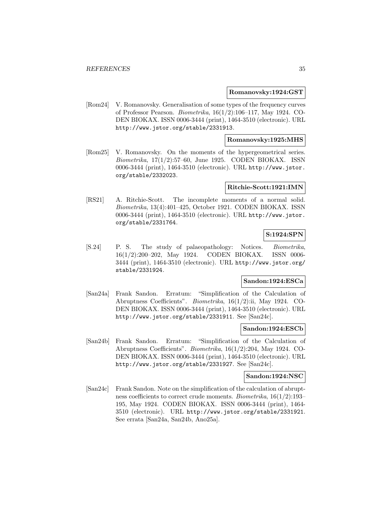#### **Romanovsky:1924:GST**

[Rom24] V. Romanovsky. Generalisation of some types of the frequency curves of Professor Pearson. Biometrika, 16(1/2):106–117, May 1924. CO-DEN BIOKAX. ISSN 0006-3444 (print), 1464-3510 (electronic). URL http://www.jstor.org/stable/2331913.

# **Romanovsky:1925:MHS**

[Rom25] V. Romanovsky. On the moments of the hypergeometrical series.  $Biometrika$ ,  $17(1/2):57-60$ , June 1925. CODEN BIOKAX. ISSN 0006-3444 (print), 1464-3510 (electronic). URL http://www.jstor. org/stable/2332023.

#### **Ritchie-Scott:1921:IMN**

[RS21] A. Ritchie-Scott. The incomplete moments of a normal solid. Biometrika, 13(4):401–425, October 1921. CODEN BIOKAX. ISSN 0006-3444 (print), 1464-3510 (electronic). URL http://www.jstor. org/stable/2331764.

# **S:1924:SPN**

[S.24] P. S. The study of palaeopathology: Notices. Biometrika, 16(1/2):200–202, May 1924. CODEN BIOKAX. ISSN 0006- 3444 (print), 1464-3510 (electronic). URL http://www.jstor.org/ stable/2331924.

#### **Sandon:1924:ESCa**

[San24a] Frank Sandon. Erratum: "Simplification of the Calculation of Abruptness Coefficients". Biometrika, 16(1/2):ii, May 1924. CO-DEN BIOKAX. ISSN 0006-3444 (print), 1464-3510 (electronic). URL http://www.jstor.org/stable/2331911. See [San24c].

#### **Sandon:1924:ESCb**

[San24b] Frank Sandon. Erratum: "Simplification of the Calculation of Abruptness Coefficients". Biometrika, 16(1/2):204, May 1924. CO-DEN BIOKAX. ISSN 0006-3444 (print), 1464-3510 (electronic). URL http://www.jstor.org/stable/2331927. See [San24c].

#### **Sandon:1924:NSC**

[San24c] Frank Sandon. Note on the simplification of the calculation of abruptness coefficients to correct crude moments. Biometrika, 16(1/2):193– 195, May 1924. CODEN BIOKAX. ISSN 0006-3444 (print), 1464- 3510 (electronic). URL http://www.jstor.org/stable/2331921. See errata [San24a, San24b, Ano25a].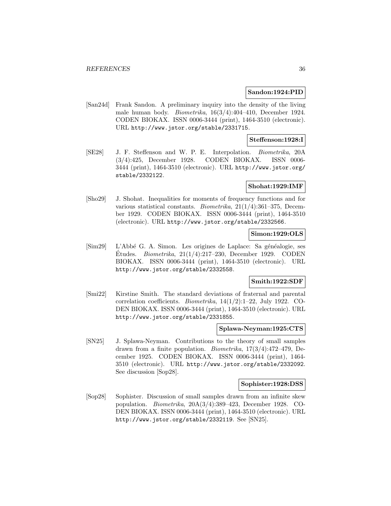#### **Sandon:1924:PID**

[San24d] Frank Sandon. A preliminary inquiry into the density of the living male human body. Biometrika, 16(3/4):404–410, December 1924. CODEN BIOKAX. ISSN 0006-3444 (print), 1464-3510 (electronic). URL http://www.jstor.org/stable/2331715.

### **Steffenson:1928:I**

[SE28] J. F. Steffenson and W. P. E. Interpolation. Biometrika, 20A (3/4):425, December 1928. CODEN BIOKAX. ISSN 0006- 3444 (print), 1464-3510 (electronic). URL http://www.jstor.org/ stable/2332122.

# **Shohat:1929:IMF**

[Sho29] J. Shohat. Inequalities for moments of frequency functions and for various statistical constants. Biometrika, 21(1/4):361–375, December 1929. CODEN BIOKAX. ISSN 0006-3444 (print), 1464-3510 (electronic). URL http://www.jstor.org/stable/2332566.

# **Simon:1929:OLS**

[Sim29] L'Abbé G. A. Simon. Les origines de Laplace: Sa généalogie, ses Etudes. *Biometrika*,  $21(1/4):217-230$ , December 1929. CODEN BIOKAX. ISSN 0006-3444 (print), 1464-3510 (electronic). URL http://www.jstor.org/stable/2332558.

# **Smith:1922:SDF**

[Smi22] Kirstine Smith. The standard deviations of fraternal and parental correlation coefficients. Biometrika, 14(1/2):1–22, July 1922. CO-DEN BIOKAX. ISSN 0006-3444 (print), 1464-3510 (electronic). URL http://www.jstor.org/stable/2331855.

#### **Splawa-Neyman:1925:CTS**

[SN25] J. Splawa-Neyman. Contributions to the theory of small samples drawn from a finite population. Biometrika, 17(3/4):472–479, December 1925. CODEN BIOKAX. ISSN 0006-3444 (print), 1464- 3510 (electronic). URL http://www.jstor.org/stable/2332092. See discussion [Sop28].

#### **Sophister:1928:DSS**

[Sop28] Sophister. Discussion of small samples drawn from an infinite skew population. Biometrika, 20A(3/4):389–423, December 1928. CO-DEN BIOKAX. ISSN 0006-3444 (print), 1464-3510 (electronic). URL http://www.jstor.org/stable/2332119. See [SN25].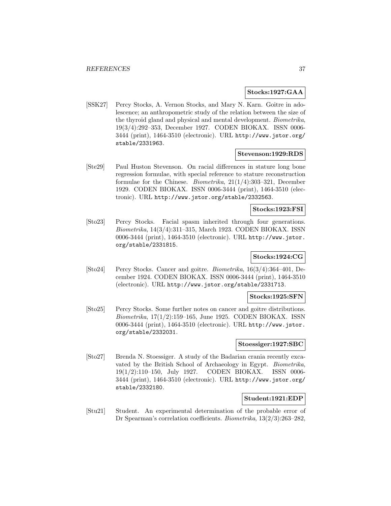### **Stocks:1927:GAA**

[SSK27] Percy Stocks, A. Vernon Stocks, and Mary N. Karn. Goitre in adolescence; an anthropometric study of the relation between the size of the thyroid gland and physical and mental development. Biometrika, 19(3/4):292–353, December 1927. CODEN BIOKAX. ISSN 0006- 3444 (print), 1464-3510 (electronic). URL http://www.jstor.org/ stable/2331963.

#### **Stevenson:1929:RDS**

[Ste29] Paul Huston Stevenson. On racial differences in stature long bone regression formulae, with special reference to stature reconstruction formulae for the Chinese. Biometrika, 21(1/4):303–321, December 1929. CODEN BIOKAX. ISSN 0006-3444 (print), 1464-3510 (electronic). URL http://www.jstor.org/stable/2332563.

**Stocks:1923:FSI**

[Sto23] Percy Stocks. Facial spasm inherited through four generations. Biometrika, 14(3/4):311–315, March 1923. CODEN BIOKAX. ISSN 0006-3444 (print), 1464-3510 (electronic). URL http://www.jstor. org/stable/2331815.

# **Stocks:1924:CG**

[Sto24] Percy Stocks. Cancer and goitre. Biometrika, 16(3/4):364–401, December 1924. CODEN BIOKAX. ISSN 0006-3444 (print), 1464-3510 (electronic). URL http://www.jstor.org/stable/2331713.

# **Stocks:1925:SFN**

[Sto25] Percy Stocks. Some further notes on cancer and goitre distributions. Biometrika, 17(1/2):159–165, June 1925. CODEN BIOKAX. ISSN 0006-3444 (print), 1464-3510 (electronic). URL http://www.jstor. org/stable/2332031.

#### **Stoessiger:1927:SBC**

[Sto27] Brenda N. Stoessiger. A study of the Badarian crania recently excavated by the British School of Archaeology in Egypt. Biometrika, 19(1/2):110–150, July 1927. CODEN BIOKAX. ISSN 0006- 3444 (print), 1464-3510 (electronic). URL http://www.jstor.org/ stable/2332180.

#### **Student:1921:EDP**

[Stu21] Student. An experimental determination of the probable error of Dr Spearman's correlation coefficients. Biometrika, 13(2/3):263–282,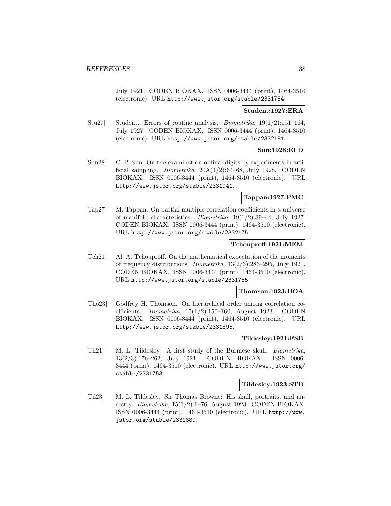July 1921. CODEN BIOKAX. ISSN 0006-3444 (print), 1464-3510 (electronic). URL http://www.jstor.org/stable/2331754.

#### **Student:1927:ERA**

[Stu27] Student. Errors of routine analysis. Biometrika, 19(1/2):151–164, July 1927. CODEN BIOKAX. ISSN 0006-3444 (print), 1464-3510 (electronic). URL http://www.jstor.org/stable/2332181.

# **Sun:1928:EFD**

[Sun28] C. P. Sun. On the examination of final digits by experiments in artificial sampling. *Biometrika*,  $20A(1/2):64-68$ , July 1928. CODEN BIOKAX. ISSN 0006-3444 (print), 1464-3510 (electronic). URL http://www.jstor.org/stable/2331941.

# **Tappan:1927:PMC**

[Tap27] M. Tappan. On partial multiple correlation coefficients in a universe of manifold characteristics. Biometrika, 19(1/2):39–44, July 1927. CODEN BIOKAX. ISSN 0006-3444 (print), 1464-3510 (electronic). URL http://www.jstor.org/stable/2332175.

#### **Tchouproff:1921:MEM**

[Tch21] Al. A. Tchouproff. On the mathematical expectation of the moments of frequency distributions. Biometrika, 13(2/3):283–295, July 1921. CODEN BIOKAX. ISSN 0006-3444 (print), 1464-3510 (electronic). URL http://www.jstor.org/stable/2331755.

### **Thomson:1923:HOA**

[Tho23] Godfrey H. Thomson. On hierarchical order among correlation coefficients. *Biometrika*,  $15(1/2):150-160$ , August 1923. CODEN BIOKAX. ISSN 0006-3444 (print), 1464-3510 (electronic). URL http://www.jstor.org/stable/2331895.

#### **Tildesley:1921:FSB**

[Til21] M. L. Tildesley. A first study of the Burmese skull. Biometrika, 13(2/3):176–262, July 1921. CODEN BIOKAX. ISSN 0006- 3444 (print), 1464-3510 (electronic). URL http://www.jstor.org/ stable/2331753.

#### **Tildesley:1923:STB**

[Til23] M. L. Tildesley. Sir Thomas Browne: His skull, portraits, and ancestry. Biometrika, 15(1/2):1–76, August 1923. CODEN BIOKAX. ISSN 0006-3444 (print), 1464-3510 (electronic). URL http://www. jstor.org/stable/2331889.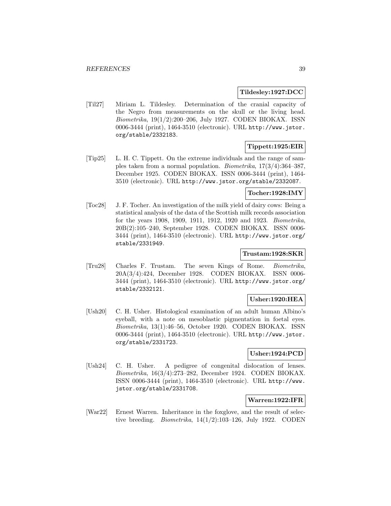**Tildesley:1927:DCC**

[Til27] Miriam L. Tildesley. Determination of the cranial capacity of the Negro from measurements on the skull or the living head. Biometrika, 19(1/2):200–206, July 1927. CODEN BIOKAX. ISSN 0006-3444 (print), 1464-3510 (electronic). URL http://www.jstor. org/stable/2332183.

# **Tippett:1925:EIR**

[Tip25] L. H. C. Tippett. On the extreme individuals and the range of samples taken from a normal population. Biometrika, 17(3/4):364–387, December 1925. CODEN BIOKAX. ISSN 0006-3444 (print), 1464- 3510 (electronic). URL http://www.jstor.org/stable/2332087.

# **Tocher:1928:IMY**

[Toc28] J. F. Tocher. An investigation of the milk yield of dairy cows: Being a statistical analysis of the data of the Scottish milk records association for the years 1908, 1909, 1911, 1912, 1920 and 1923. Biometrika, 20B(2):105–240, September 1928. CODEN BIOKAX. ISSN 0006- 3444 (print), 1464-3510 (electronic). URL http://www.jstor.org/ stable/2331949.

# **Trustam:1928:SKR**

[Tru28] Charles F. Trustam. The seven Kings of Rome. Biometrika, 20A(3/4):424, December 1928. CODEN BIOKAX. ISSN 0006- 3444 (print), 1464-3510 (electronic). URL http://www.jstor.org/ stable/2332121.

# **Usher:1920:HEA**

[Ush20] C. H. Usher. Histological examination of an adult human Albino's eyeball, with a note on mesoblastic pigmentation in foetal eyes. Biometrika, 13(1):46–56, October 1920. CODEN BIOKAX. ISSN 0006-3444 (print), 1464-3510 (electronic). URL http://www.jstor. org/stable/2331723.

# **Usher:1924:PCD**

[Ush24] C. H. Usher. A pedigree of congenital dislocation of lenses. Biometrika, 16(3/4):273–282, December 1924. CODEN BIOKAX. ISSN 0006-3444 (print), 1464-3510 (electronic). URL http://www. jstor.org/stable/2331708.

# **Warren:1922:IFR**

[War22] Ernest Warren. Inheritance in the foxglove, and the result of selective breeding. *Biometrika*,  $14(1/2):103-126$ , July 1922. CODEN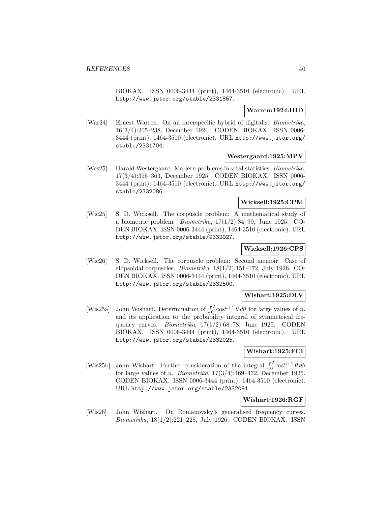BIOKAX. ISSN 0006-3444 (print), 1464-3510 (electronic). URL http://www.jstor.org/stable/2331857.

# **Warren:1924:IHD**

[War24] Ernest Warren. On an interspecific hybrid of digitalis. Biometrika, 16(3/4):205–238, December 1924. CODEN BIOKAX. ISSN 0006- 3444 (print), 1464-3510 (electronic). URL http://www.jstor.org/ stable/2331704.

# **Westergaard:1925:MPV**

[Wes25] Harald Westergaard. Modern problems in vital statistics. Biometrika, 17(3/4):355–363, December 1925. CODEN BIOKAX. ISSN 0006- 3444 (print), 1464-3510 (electronic). URL http://www.jstor.org/ stable/2332086.

# **Wicksell:1925:CPM**

[Wic25] S. D. Wicksell. The corpuscle problem: A mathematical study of a biometric problem. *Biometrika*,  $17(1/2)$ :84–99, June 1925. CO-DEN BIOKAX. ISSN 0006-3444 (print), 1464-3510 (electronic). URL http://www.jstor.org/stable/2332027.

# **Wicksell:1926:CPS**

[Wic26] S. D. Wicksell. The corpuscle problem: Second memoir: Case of ellipsoidal corpuscles. Biometrika, 18(1/2):151–172, July 1926. CO-DEN BIOKAX. ISSN 0006-3444 (print), 1464-3510 (electronic). URL http://www.jstor.org/stable/2332500.

# **Wishart:1925:DLV**

[Wis25a] John Wishart. Determination of  $\int_0^\theta \cos^{n+1} \theta \, d\theta$  for large values of n, and its application to the probability integral of symmetrical frequency curves. Biometrika, 17(1/2):68–78, June 1925. CODEN BIOKAX. ISSN 0006-3444 (print), 1464-3510 (electronic). URL http://www.jstor.org/stable/2332025.

# **Wishart:1925:FCI**

[Wis25b] John Wishart. Further consideration of the integral  $\int_0^\theta \cos^{n+1} \theta \, d\theta$ for large values of *n. Biometrika*,  $17(3/4):469-472$ , December 1925. CODEN BIOKAX. ISSN 0006-3444 (print), 1464-3510 (electronic). URL http://www.jstor.org/stable/2332091.

# **Wishart:1926:RGF**

[Wis26] John Wishart. On Romanovsky's generalised frequency curves. Biometrika, 18(1/2):221–228, July 1926. CODEN BIOKAX. ISSN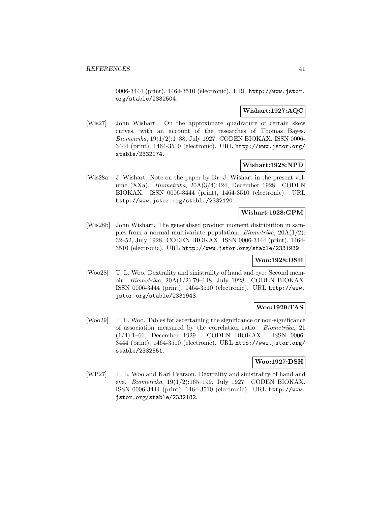0006-3444 (print), 1464-3510 (electronic). URL http://www.jstor. org/stable/2332504.

# **Wishart:1927:AQC**

[Wis27] John Wishart. On the approximate quadrature of certain skew curves, with an account of the researches of Thomas Bayes. Biometrika, 19(1/2):1–38, July 1927. CODEN BIOKAX. ISSN 0006- 3444 (print), 1464-3510 (electronic). URL http://www.jstor.org/ stable/2332174.

# **Wishart:1928:NPD**

[Wis28a] J. Wishart. Note on the paper by Dr. J. Wishart in the present volume (XXa). Biometrika, 20A(3/4):424, December 1928. CODEN BIOKAX. ISSN 0006-3444 (print), 1464-3510 (electronic). URL http://www.jstor.org/stable/2332120.

# **Wishart:1928:GPM**

[Wis28b] John Wishart. The generalised product moment distribution in samples from a normal multivariate population. *Biometrika*,  $20A(1/2)$ : 32–52, July 1928. CODEN BIOKAX. ISSN 0006-3444 (print), 1464- 3510 (electronic). URL http://www.jstor.org/stable/2331939.

# **Woo:1928:DSH**

[Woo28] T. L. Woo. Dextrality and sinistrality of hand and eye: Second memoir. Biometrika, 20A(1/2):79–148, July 1928. CODEN BIOKAX. ISSN 0006-3444 (print), 1464-3510 (electronic). URL http://www. jstor.org/stable/2331943.

# **Woo:1929:TAS**

[Woo29] T. L. Woo. Tables for ascertaining the significance or non-significance of association measured by the correlation ratio. Biometrika, 21 (1/4):1–66, December 1929. CODEN BIOKAX. ISSN 0006- 3444 (print), 1464-3510 (electronic). URL http://www.jstor.org/ stable/2332551.

# **Woo:1927:DSH**

[WP27] T. L. Woo and Karl Pearson. Dextrality and sinistrality of hand and eye. Biometrika, 19(1/2):165–199, July 1927. CODEN BIOKAX. ISSN 0006-3444 (print), 1464-3510 (electronic). URL http://www. jstor.org/stable/2332182.